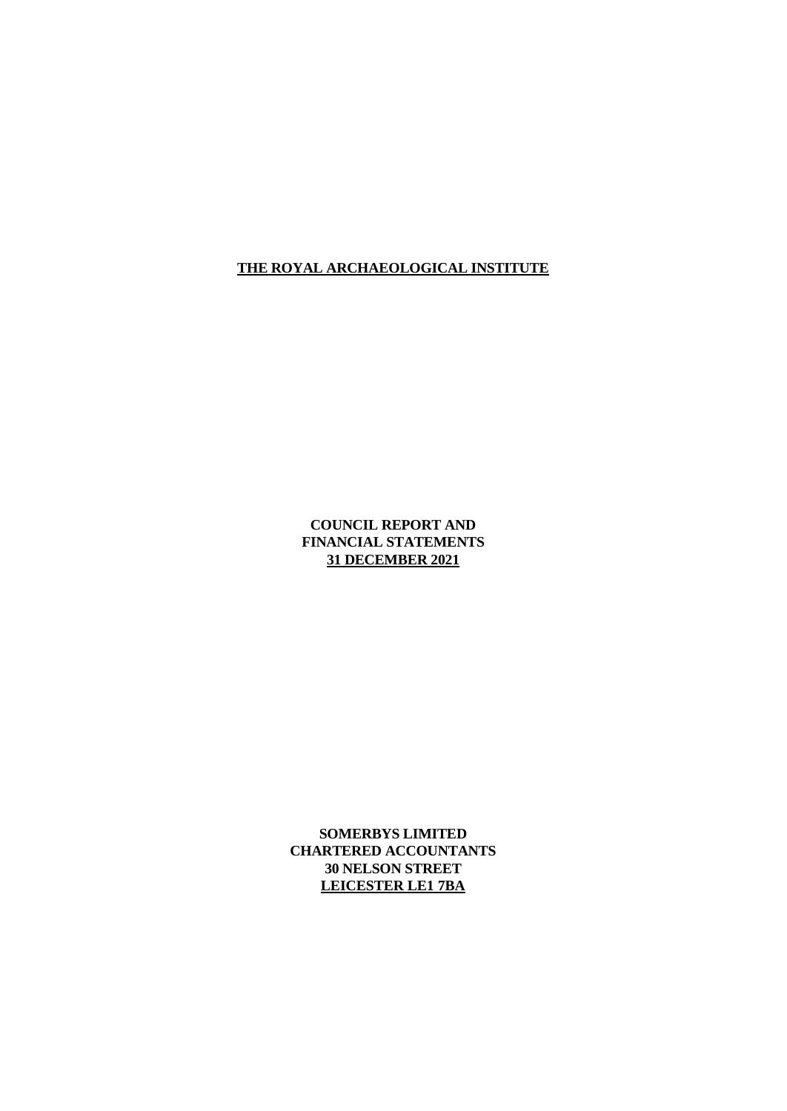# **COUNCIL REPORT AND FINANCIAL STATEMENTS 31 DECEMBER 2021**

**SOMERBYS LIMITED CHARTERED ACCOUNTANTS 30 NELSON STREET LEICESTER LE1 7BA**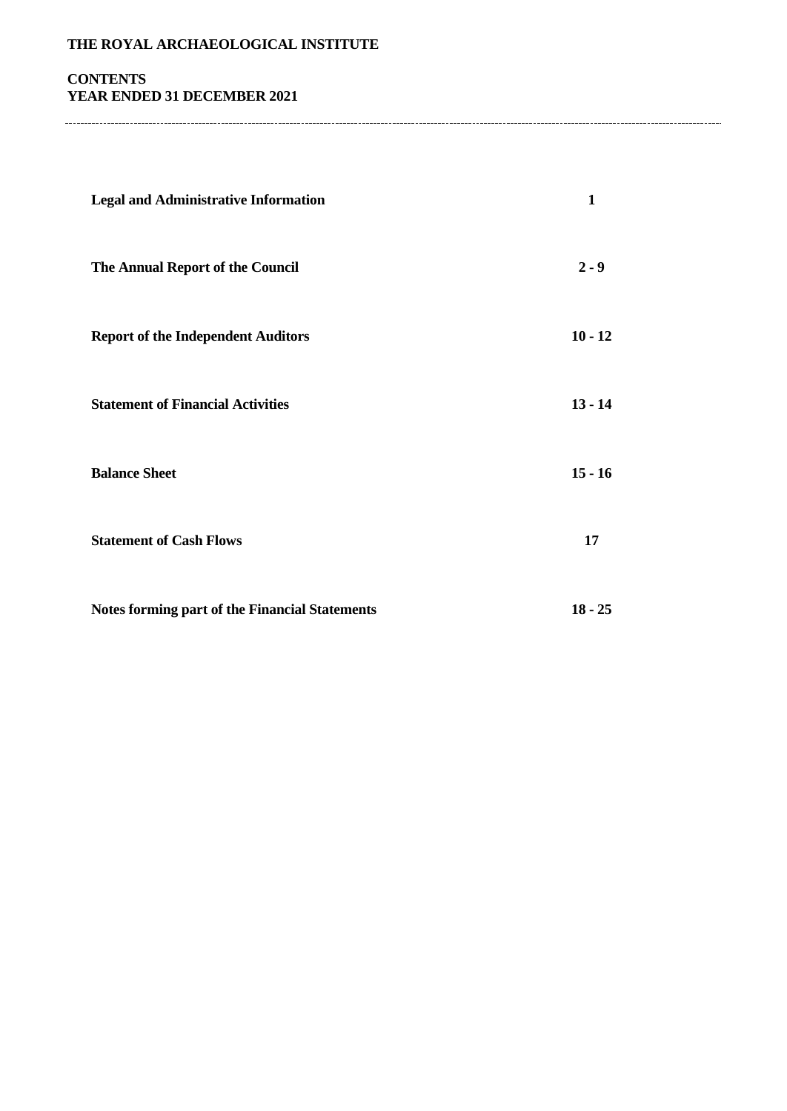# **CONTENTS YEAR ENDED 31 DECEMBER 2021**

| <b>Legal and Administrative Information</b>           | 1         |
|-------------------------------------------------------|-----------|
| The Annual Report of the Council                      | $2 - 9$   |
| <b>Report of the Independent Auditors</b>             | $10 - 12$ |
| <b>Statement of Financial Activities</b>              | $13 - 14$ |
| <b>Balance Sheet</b>                                  | $15 - 16$ |
| <b>Statement of Cash Flows</b>                        | 17        |
| <b>Notes forming part of the Financial Statements</b> | $18 - 25$ |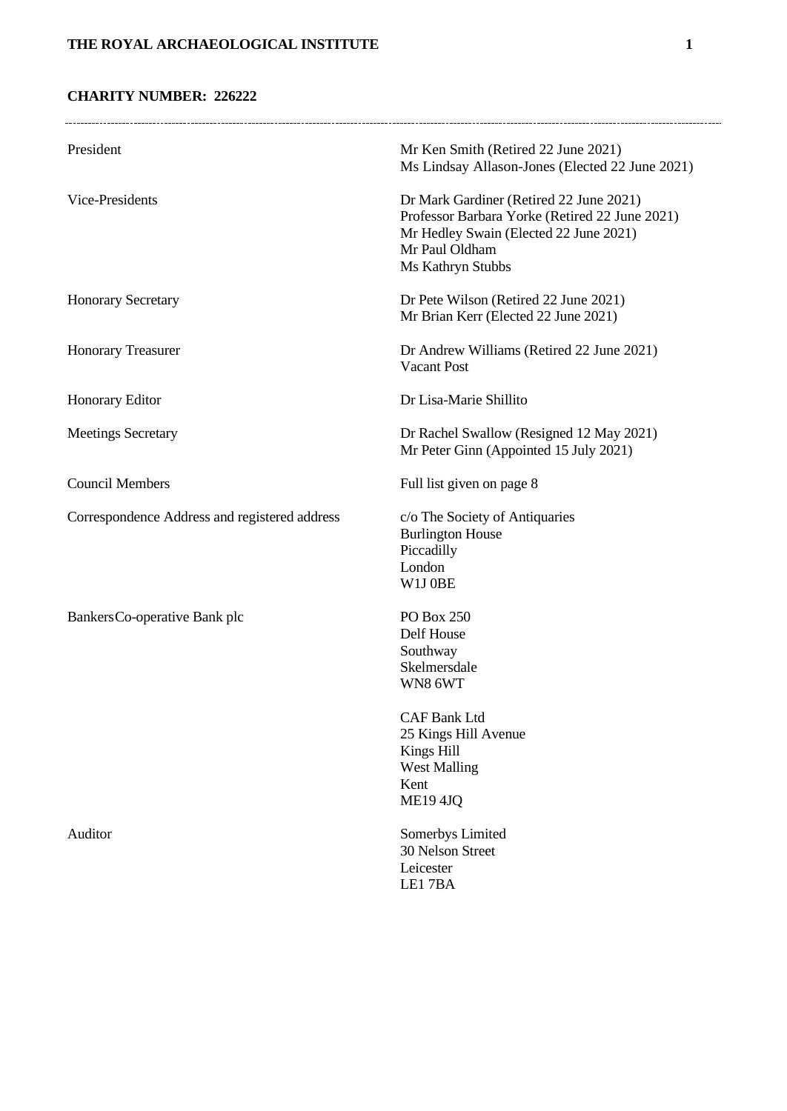# **CHARITY NUMBER: 226222**

| President                                     | Mr Ken Smith (Retired 22 June 2021)<br>Ms Lindsay Allason-Jones (Elected 22 June 2021)                                                                                     |
|-----------------------------------------------|----------------------------------------------------------------------------------------------------------------------------------------------------------------------------|
| Vice-Presidents                               | Dr Mark Gardiner (Retired 22 June 2021)<br>Professor Barbara Yorke (Retired 22 June 2021)<br>Mr Hedley Swain (Elected 22 June 2021)<br>Mr Paul Oldham<br>Ms Kathryn Stubbs |
| <b>Honorary Secretary</b>                     | Dr Pete Wilson (Retired 22 June 2021)<br>Mr Brian Kerr (Elected 22 June 2021)                                                                                              |
| <b>Honorary Treasurer</b>                     | Dr Andrew Williams (Retired 22 June 2021)<br><b>Vacant Post</b>                                                                                                            |
| Honorary Editor                               | Dr Lisa-Marie Shillito                                                                                                                                                     |
| <b>Meetings Secretary</b>                     | Dr Rachel Swallow (Resigned 12 May 2021)<br>Mr Peter Ginn (Appointed 15 July 2021)                                                                                         |
| <b>Council Members</b>                        | Full list given on page 8                                                                                                                                                  |
| Correspondence Address and registered address | c/o The Society of Antiquaries<br><b>Burlington House</b><br>Piccadilly<br>London<br>W1J0BE                                                                                |
| Bankers Co-operative Bank plc                 | <b>PO Box 250</b><br>Delf House<br>Southway<br>Skelmersdale<br>WN8 6WT<br><b>CAF Bank Ltd</b>                                                                              |
|                                               | 25 Kings Hill Avenue<br>Kings Hill<br><b>West Malling</b><br>Kent<br><b>ME19 4JQ</b>                                                                                       |
| Auditor                                       | Somerbys Limited<br>30 Nelson Street<br>Leicester<br>LE17BA                                                                                                                |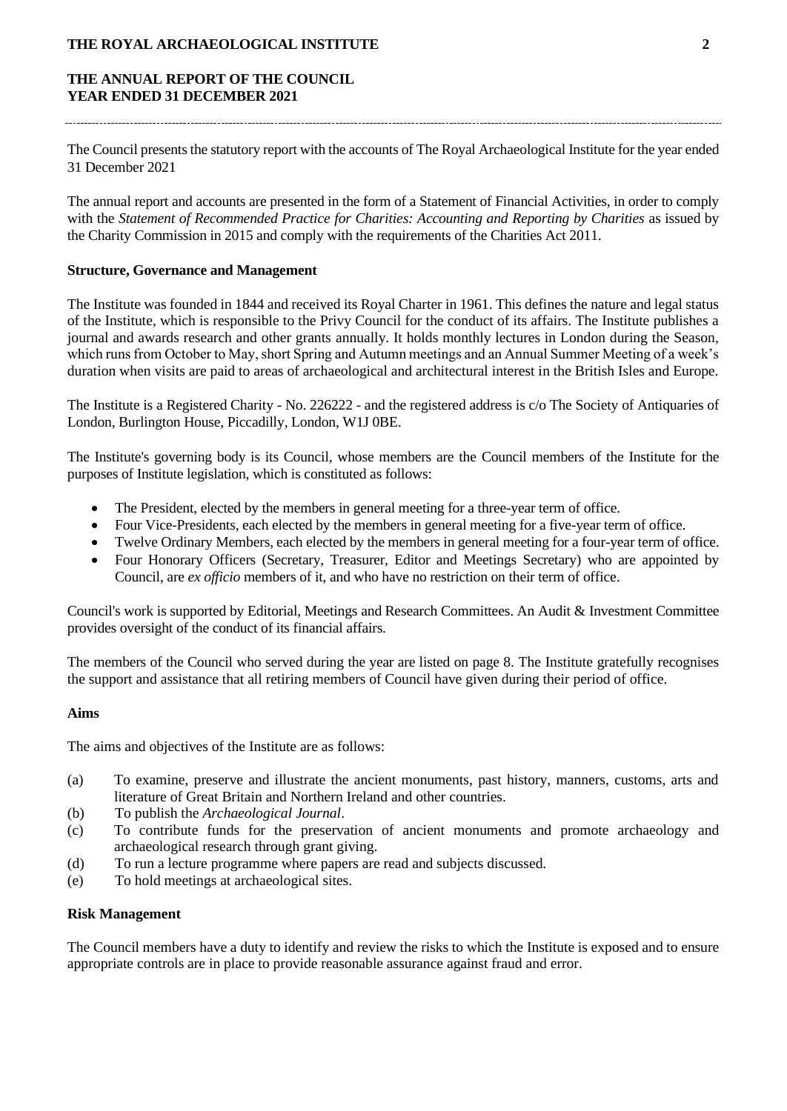## **THE ANNUAL REPORT OF THE COUNCIL YEAR ENDED 31 DECEMBER 2021**

The Council presents the statutory report with the accounts of The Royal Archaeological Institute for the year ended 31 December 2021

The annual report and accounts are presented in the form of a Statement of Financial Activities, in order to comply with the *Statement of Recommended Practice for Charities: Accounting and Reporting by Charities* as issued by the Charity Commission in 2015 and comply with the requirements of the Charities Act 2011.

#### **Structure, Governance and Management**

The Institute was founded in 1844 and received its Royal Charter in 1961. This defines the nature and legal status of the Institute, which is responsible to the Privy Council for the conduct of its affairs. The Institute publishes a journal and awards research and other grants annually. It holds monthly lectures in London during the Season, which runs from October to May, short Spring and Autumn meetings and an Annual Summer Meeting of a week's duration when visits are paid to areas of archaeological and architectural interest in the British Isles and Europe.

The Institute is a Registered Charity - No. 226222 - and the registered address is c/o The Society of Antiquaries of London, Burlington House, Piccadilly, London, W1J 0BE.

The Institute's governing body is its Council, whose members are the Council members of the Institute for the purposes of Institute legislation, which is constituted as follows:

- The President, elected by the members in general meeting for a three-year term of office.
- Four Vice-Presidents, each elected by the members in general meeting for a five-year term of office.
- Twelve Ordinary Members, each elected by the members in general meeting for a four-year term of office.
- Four Honorary Officers (Secretary, Treasurer, Editor and Meetings Secretary) who are appointed by Council, are *ex officio* members of it, and who have no restriction on their term of office.

Council's work is supported by Editorial, Meetings and Research Committees. An Audit & Investment Committee provides oversight of the conduct of its financial affairs.

The members of the Council who served during the year are listed on page 8. The Institute gratefully recognises the support and assistance that all retiring members of Council have given during their period of office.

#### **Aims**

The aims and objectives of the Institute are as follows:

- (a) To examine, preserve and illustrate the ancient monuments, past history, manners, customs, arts and literature of Great Britain and Northern Ireland and other countries.
- (b) To publish the *Archaeological Journal*.
- (c) To contribute funds for the preservation of ancient monuments and promote archaeology and archaeological research through grant giving.
- (d) To run a lecture programme where papers are read and subjects discussed.
- (e) To hold meetings at archaeological sites.

#### **Risk Management**

The Council members have a duty to identify and review the risks to which the Institute is exposed and to ensure appropriate controls are in place to provide reasonable assurance against fraud and error.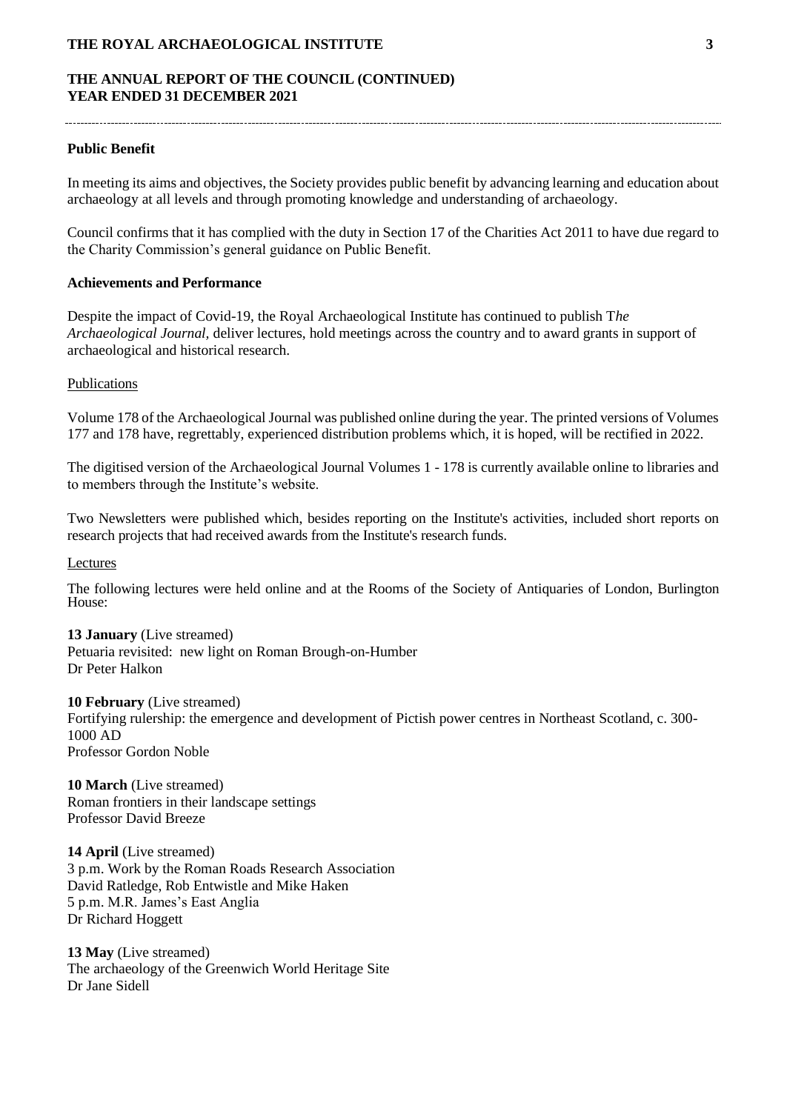## **THE ANNUAL REPORT OF THE COUNCIL (CONTINUED) YEAR ENDED 31 DECEMBER 2021**

#### **Public Benefit**

In meeting its aims and objectives, the Society provides public benefit by advancing learning and education about archaeology at all levels and through promoting knowledge and understanding of archaeology.

Council confirms that it has complied with the duty in Section 17 of the Charities Act 2011 to have due regard to the Charity Commission's general guidance on Public Benefit.

## **Achievements and Performance**

Despite the impact of Covid-19, the Royal Archaeological Institute has continued to publish T*he Archaeological Journal,* deliver lectures, hold meetings across the country and to award grants in support of archaeological and historical research.

#### Publications

Volume 178 of the Archaeological Journal was published online during the year. The printed versions of Volumes 177 and 178 have, regrettably, experienced distribution problems which, it is hoped, will be rectified in 2022.

The digitised version of the Archaeological Journal Volumes 1 - 178 is currently available online to libraries and to members through the Institute's website.

Two Newsletters were published which, besides reporting on the Institute's activities, included short reports on research projects that had received awards from the Institute's research funds.

#### Lectures

The following lectures were held online and at the Rooms of the Society of Antiquaries of London, Burlington House:

**13 January** (Live streamed) Petuaria revisited: new light on Roman Brough-on-Humber Dr Peter Halkon

**10 February** (Live streamed) Fortifying rulership: the emergence and development of Pictish power centres in Northeast Scotland, c. 300- 1000 AD Professor Gordon Noble

**10 March** (Live streamed) Roman frontiers in their landscape settings Professor David Breeze

**14 April** (Live streamed) 3 p.m. Work by the Roman Roads Research Association David Ratledge, Rob Entwistle and Mike Haken 5 p.m. M.R. James's East Anglia Dr Richard Hoggett

**13 May** (Live streamed) The archaeology of the Greenwich World Heritage Site Dr Jane Sidell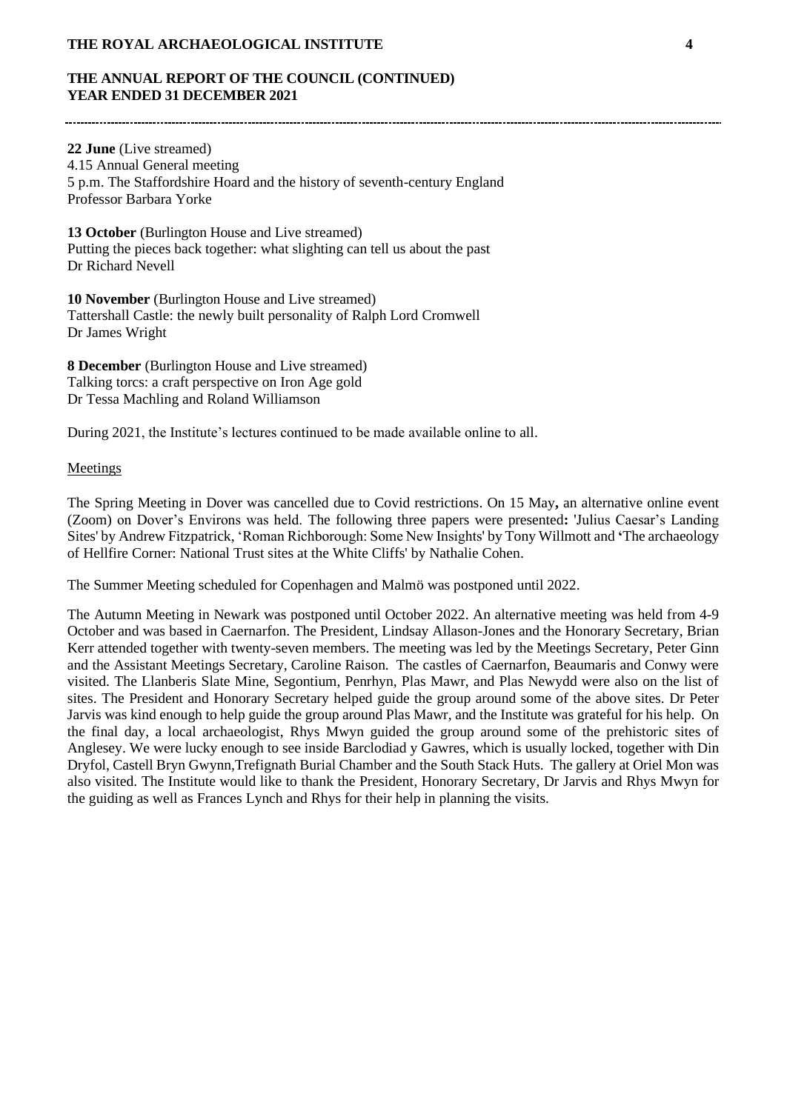# **THE ANNUAL REPORT OF THE COUNCIL (CONTINUED) YEAR ENDED 31 DECEMBER 2021**

**22 June** (Live streamed) 4.15 Annual General meeting 5 p.m. The Staffordshire Hoard and the history of seventh-century England Professor Barbara Yorke

**13 October** (Burlington House and Live streamed) Putting the pieces back together: what slighting can tell us about the past Dr Richard Nevell

**10 November** (Burlington House and Live streamed) Tattershall Castle: the newly built personality of Ralph Lord Cromwell Dr James Wright

**8 December** (Burlington House and Live streamed) Talking torcs: a craft perspective on Iron Age gold Dr Tessa Machling and Roland Williamson

During 2021, the Institute's lectures continued to be made available online to all.

#### **Meetings**

The Spring Meeting in Dover was cancelled due to Covid restrictions. On 15 May**,** an alternative online event (Zoom) on Dover's Environs was held. The following three papers were presented**:** 'Julius Caesar's Landing Sites' by Andrew Fitzpatrick, 'Roman Richborough: Some New Insights' by Tony Willmott and **'**The archaeology of Hellfire Corner: National Trust sites at the White Cliffs' by Nathalie Cohen.

The Summer Meeting scheduled for Copenhagen and Malmö was postponed until 2022.

The Autumn Meeting in Newark was postponed until October 2022. An alternative meeting was held from 4-9 October and was based in Caernarfon. The President, Lindsay Allason-Jones and the Honorary Secretary, Brian Kerr attended together with twenty-seven members. The meeting was led by the Meetings Secretary, Peter Ginn and the Assistant Meetings Secretary, Caroline Raison. The castles of Caernarfon, Beaumaris and Conwy were visited. The Llanberis Slate Mine, Segontium, Penrhyn, Plas Mawr, and Plas Newydd were also on the list of sites. The President and Honorary Secretary helped guide the group around some of the above sites. Dr Peter Jarvis was kind enough to help guide the group around Plas Mawr, and the Institute was grateful for his help. On the final day, a local archaeologist, Rhys Mwyn guided the group around some of the prehistoric sites of Anglesey. We were lucky enough to see inside Barclodiad y Gawres, which is usually locked, together with Din Dryfol, Castell Bryn Gwynn,Trefignath Burial Chamber and the South Stack Huts. The gallery at Oriel Mon was also visited. The Institute would like to thank the President, Honorary Secretary, Dr Jarvis and Rhys Mwyn for the guiding as well as Frances Lynch and Rhys for their help in planning the visits.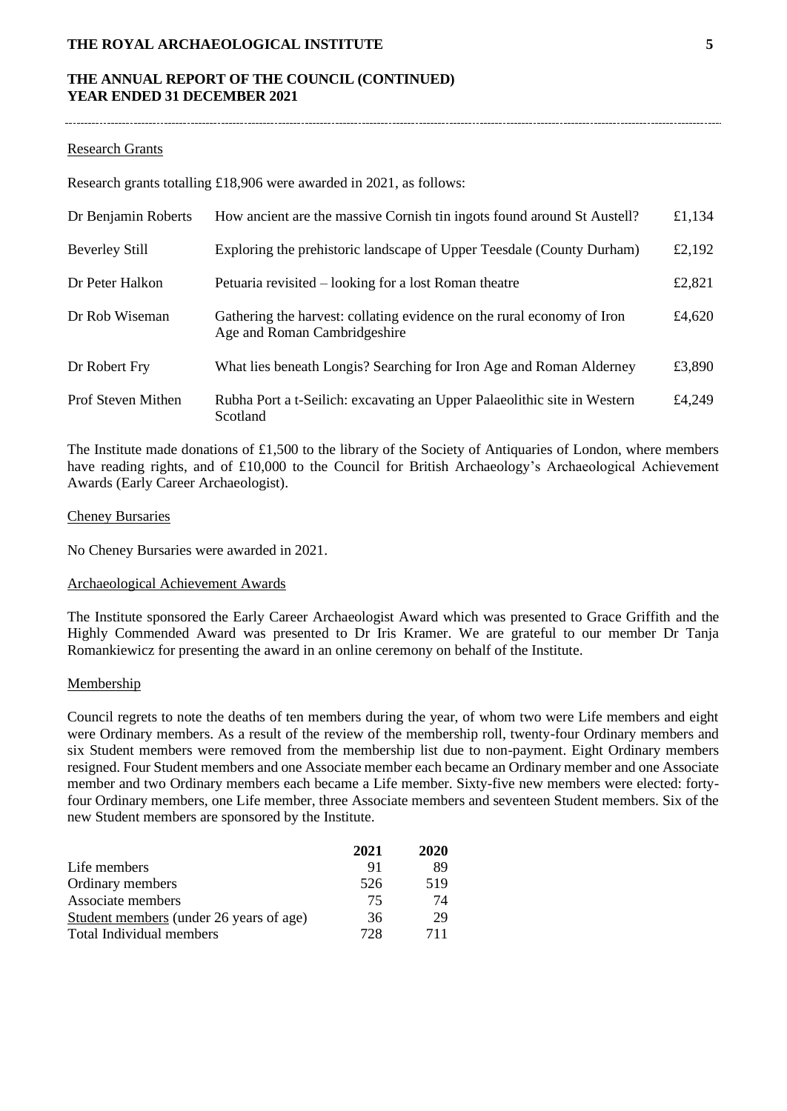## **THE ANNUAL REPORT OF THE COUNCIL (CONTINUED) YEAR ENDED 31 DECEMBER 2021**

#### Research Grants

Research grants totalling £18,906 were awarded in 2021, as follows:

| Dr Benjamin Roberts       | How ancient are the massive Cornish tin ingots found around St Austell?                                | £1,134 |
|---------------------------|--------------------------------------------------------------------------------------------------------|--------|
| <b>Beverley Still</b>     | Exploring the prehistoric landscape of Upper Teesdale (County Durham)                                  | £2,192 |
| Dr Peter Halkon           | Petuaria revisited – looking for a lost Roman theatre                                                  | £2,821 |
| Dr Rob Wiseman            | Gathering the harvest: collating evidence on the rural economy of Iron<br>Age and Roman Cambridgeshire | £4,620 |
| Dr Robert Fry             | What lies beneath Longis? Searching for Iron Age and Roman Alderney                                    | £3,890 |
| <b>Prof Steven Mithen</b> | Rubha Port a t-Seilich: excavating an Upper Palaeolithic site in Western<br>Scotland                   | £4,249 |

The Institute made donations of £1,500 to the library of the Society of Antiquaries of London, where members have reading rights, and of £10,000 to the Council for British Archaeology's Archaeological Achievement Awards (Early Career Archaeologist).

#### Cheney Bursaries

No Cheney Bursaries were awarded in 2021.

#### Archaeological Achievement Awards

The Institute sponsored the Early Career Archaeologist Award which was presented to Grace Griffith and the Highly Commended Award was presented to Dr Iris Kramer. We are grateful to our member Dr Tanja Romankiewicz for presenting the award in an online ceremony on behalf of the Institute.

#### Membership

Council regrets to note the deaths of ten members during the year, of whom two were Life members and eight were Ordinary members. As a result of the review of the membership roll, twenty-four Ordinary members and six Student members were removed from the membership list due to non-payment. Eight Ordinary members resigned. Four Student members and one Associate member each became an Ordinary member and one Associate member and two Ordinary members each became a Life member. Sixty-five new members were elected: fortyfour Ordinary members, one Life member, three Associate members and seventeen Student members. Six of the new Student members are sponsored by the Institute.

|                                         | 2021 | 2020 |
|-----------------------------------------|------|------|
| Life members                            | 91   | 89   |
| Ordinary members                        | 526  | 519  |
| Associate members                       | 75   | 74   |
| Student members (under 26 years of age) | 36   | 29   |
| Total Individual members                | 728  | 711  |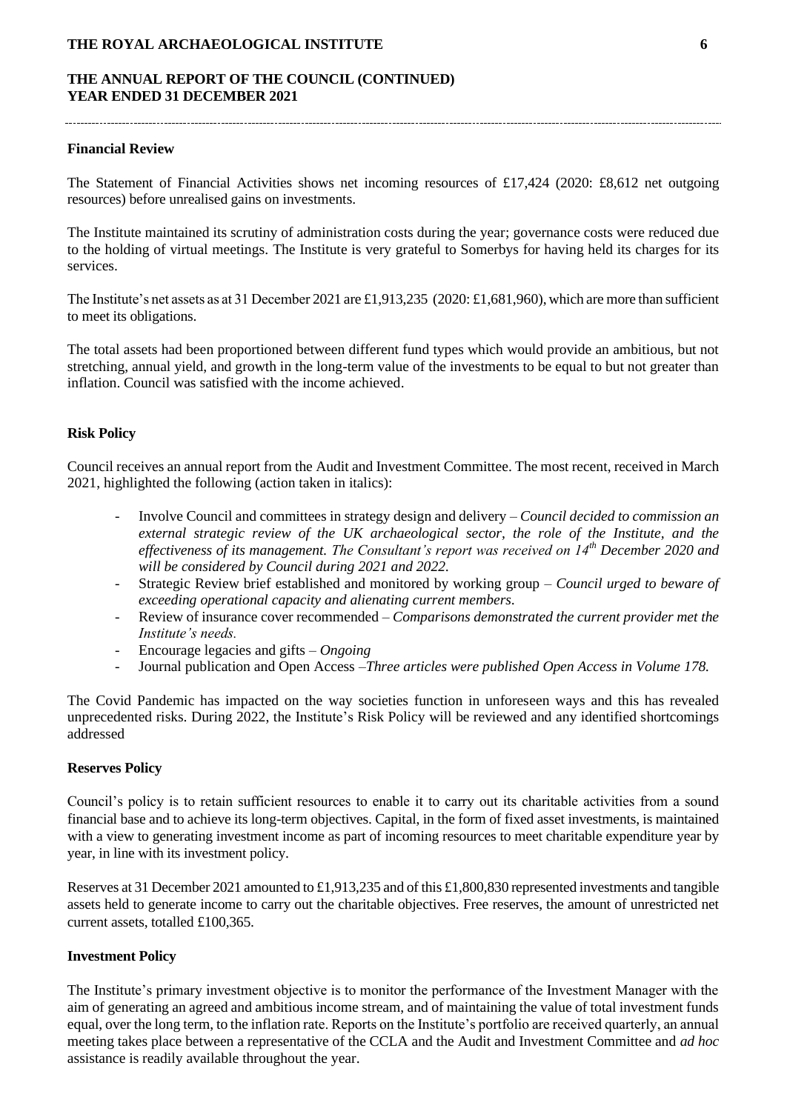## **THE ANNUAL REPORT OF THE COUNCIL (CONTINUED) YEAR ENDED 31 DECEMBER 2021**

#### **Financial Review**

The Statement of Financial Activities shows net incoming resources of £17,424 (2020: £8,612 net outgoing resources) before unrealised gains on investments.

The Institute maintained its scrutiny of administration costs during the year; governance costs were reduced due to the holding of virtual meetings. The Institute is very grateful to Somerbys for having held its charges for its services.

The Institute's net assets as at 31 December 2021 are £1,913,235 (2020: £1,681,960), which are more than sufficient to meet its obligations.

The total assets had been proportioned between different fund types which would provide an ambitious, but not stretching, annual yield, and growth in the long-term value of the investments to be equal to but not greater than inflation. Council was satisfied with the income achieved.

#### **Risk Policy**

Council receives an annual report from the Audit and Investment Committee. The most recent, received in March 2021, highlighted the following (action taken in italics):

- Involve Council and committees in strategy design and delivery *Council decided to commission an external strategic review of the UK archaeological sector, the role of the Institute, and the effectiveness of its management. The Consultant's report was received on 14th December 2020 and will be considered by Council during 2021 and 2022.*
- Strategic Review brief established and monitored by working group *– Council urged to beware of exceeding operational capacity and alienating current members.*
- Review of insurance cover recommended *Comparisons demonstrated the current provider met the Institute's needs.*
- Encourage legacies and gifts *Ongoing*
- Journal publication and Open Access –*Three articles were published Open Access in Volume 178.*

The Covid Pandemic has impacted on the way societies function in unforeseen ways and this has revealed unprecedented risks. During 2022, the Institute's Risk Policy will be reviewed and any identified shortcomings addressed

#### **Reserves Policy**

Council's policy is to retain sufficient resources to enable it to carry out its charitable activities from a sound financial base and to achieve its long-term objectives. Capital, in the form of fixed asset investments, is maintained with a view to generating investment income as part of incoming resources to meet charitable expenditure year by year, in line with its investment policy.

Reserves at 31 December 2021 amounted to £1,913,235 and of this £1,800,830 represented investments and tangible assets held to generate income to carry out the charitable objectives. Free reserves, the amount of unrestricted net current assets, totalled £100,365.

#### **Investment Policy**

The Institute's primary investment objective is to monitor the performance of the Investment Manager with the aim of generating an agreed and ambitious income stream, and of maintaining the value of total investment funds equal, over the long term, to the inflation rate. Reports on the Institute's portfolio are received quarterly, an annual meeting takes place between a representative of the CCLA and the Audit and Investment Committee and *ad hoc* assistance is readily available throughout the year.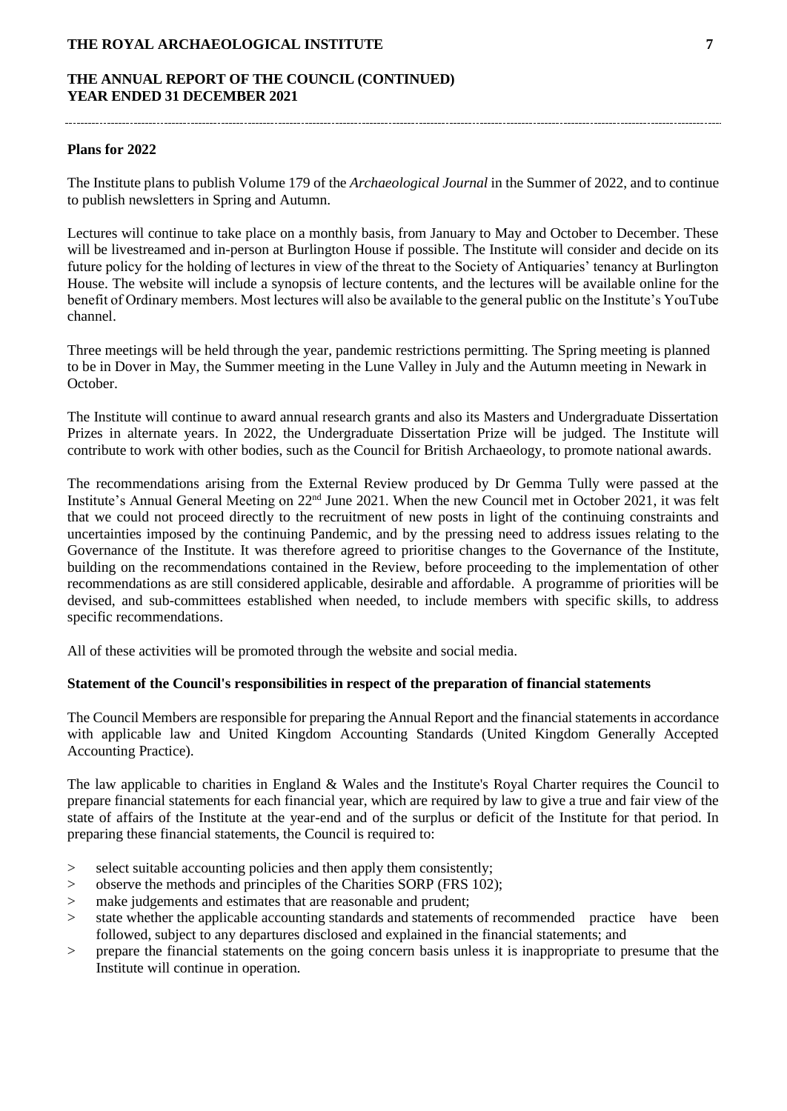## **THE ANNUAL REPORT OF THE COUNCIL (CONTINUED) YEAR ENDED 31 DECEMBER 2021**

#### **Plans for 2022**

The Institute plans to publish Volume 179 of the *Archaeological Journal* in the Summer of 2022, and to continue to publish newsletters in Spring and Autumn.

Lectures will continue to take place on a monthly basis, from January to May and October to December. These will be livestreamed and in-person at Burlington House if possible. The Institute will consider and decide on its future policy for the holding of lectures in view of the threat to the Society of Antiquaries' tenancy at Burlington House. The website will include a synopsis of lecture contents, and the lectures will be available online for the benefit of Ordinary members. Most lectures will also be available to the general public on the Institute's YouTube channel.

Three meetings will be held through the year, pandemic restrictions permitting. The Spring meeting is planned to be in Dover in May, the Summer meeting in the Lune Valley in July and the Autumn meeting in Newark in October.

The Institute will continue to award annual research grants and also its Masters and Undergraduate Dissertation Prizes in alternate years. In 2022, the Undergraduate Dissertation Prize will be judged. The Institute will contribute to work with other bodies, such as the Council for British Archaeology, to promote national awards.

The recommendations arising from the External Review produced by Dr Gemma Tully were passed at the Institute's Annual General Meeting on 22nd June 2021. When the new Council met in October 2021, it was felt that we could not proceed directly to the recruitment of new posts in light of the continuing constraints and uncertainties imposed by the continuing Pandemic, and by the pressing need to address issues relating to the Governance of the Institute. It was therefore agreed to prioritise changes to the Governance of the Institute, building on the recommendations contained in the Review, before proceeding to the implementation of other recommendations as are still considered applicable, desirable and affordable. A programme of priorities will be devised, and sub-committees established when needed, to include members with specific skills, to address specific recommendations.

All of these activities will be promoted through the website and social media.

#### **Statement of the Council's responsibilities in respect of the preparation of financial statements**

The Council Members are responsible for preparing the Annual Report and the financial statements in accordance with applicable law and United Kingdom Accounting Standards (United Kingdom Generally Accepted Accounting Practice).

The law applicable to charities in England & Wales and the Institute's Royal Charter requires the Council to prepare financial statements for each financial year, which are required by law to give a true and fair view of the state of affairs of the Institute at the year-end and of the surplus or deficit of the Institute for that period. In preparing these financial statements, the Council is required to:

- > select suitable accounting policies and then apply them consistently;
- > observe the methods and principles of the Charities SORP (FRS 102);
- > make judgements and estimates that are reasonable and prudent;
- > state whether the applicable accounting standards and statements of recommended practice have been followed, subject to any departures disclosed and explained in the financial statements; and
- > prepare the financial statements on the going concern basis unless it is inappropriate to presume that the Institute will continue in operation.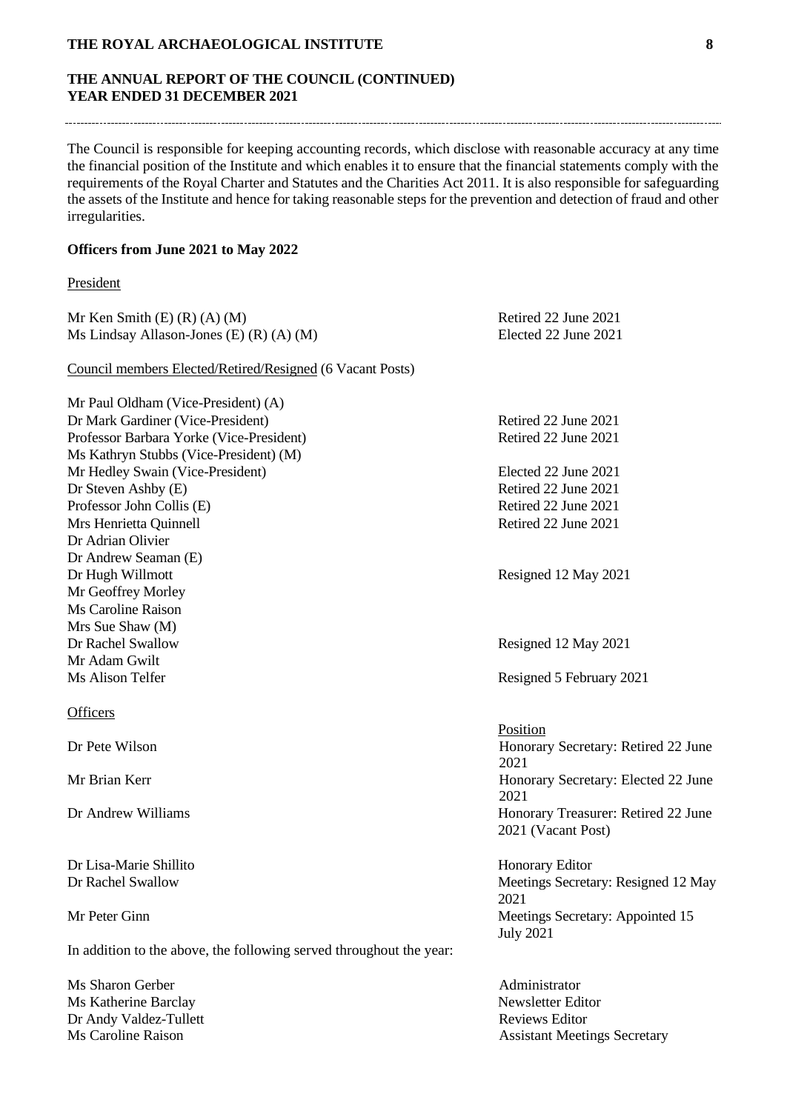# **THE ANNUAL REPORT OF THE COUNCIL (CONTINUED) YEAR ENDED 31 DECEMBER 2021**

The Council is responsible for keeping accounting records, which disclose with reasonable accuracy at any time the financial position of the Institute and which enables it to ensure that the financial statements comply with the requirements of the Royal Charter and Statutes and the Charities Act 2011. It is also responsible for safeguarding the assets of the Institute and hence for taking reasonable steps for the prevention and detection of fraud and other irregularities.

## **Officers from June 2021 to May 2022**

## President

| Mr Ken Smith $(E)$ $(R)$ $(A)$ $(M)$                                | Retired 22 June 2021                                      |
|---------------------------------------------------------------------|-----------------------------------------------------------|
| Ms Lindsay Allason-Jones (E) $(R)$ $(A)$ $(M)$                      | Elected 22 June 2021                                      |
| Council members Elected/Retired/Resigned (6 Vacant Posts)           |                                                           |
| Mr Paul Oldham (Vice-President) (A)                                 |                                                           |
| Dr Mark Gardiner (Vice-President)                                   | Retired 22 June 2021                                      |
| Professor Barbara Yorke (Vice-President)                            | Retired 22 June 2021                                      |
| Ms Kathryn Stubbs (Vice-President) (M)                              |                                                           |
| Mr Hedley Swain (Vice-President)                                    | Elected 22 June 2021                                      |
| Dr Steven Ashby (E)                                                 | Retired 22 June 2021                                      |
| Professor John Collis (E)                                           | Retired 22 June 2021                                      |
| Mrs Henrietta Quinnell                                              | Retired 22 June 2021                                      |
| Dr Adrian Olivier                                                   |                                                           |
| Dr Andrew Seaman (E)                                                |                                                           |
| Dr Hugh Willmott                                                    | Resigned 12 May 2021                                      |
| Mr Geoffrey Morley                                                  |                                                           |
| Ms Caroline Raison                                                  |                                                           |
| Mrs Sue Shaw (M)                                                    |                                                           |
| Dr Rachel Swallow                                                   | Resigned 12 May 2021                                      |
| Mr Adam Gwilt                                                       |                                                           |
| Ms Alison Telfer                                                    | Resigned 5 February 2021                                  |
| <b>Officers</b>                                                     |                                                           |
|                                                                     | Position                                                  |
| Dr Pete Wilson                                                      | Honorary Secretary: Retired 22 June<br>2021               |
| Mr Brian Kerr                                                       | Honorary Secretary: Elected 22 June<br>2021               |
| Dr Andrew Williams                                                  | Honorary Treasurer: Retired 22 June<br>2021 (Vacant Post) |
| Dr Lisa-Marie Shillito                                              | Honorary Editor                                           |
| Dr Rachel Swallow                                                   | Meetings Secretary: Resigned 12 May<br>2021               |
| Mr Peter Ginn                                                       | Meetings Secretary: Appointed 15<br><b>July 2021</b>      |
| In addition to the above, the following served throughout the year: |                                                           |
| Ms Sharon Gerber                                                    | Administrator                                             |
| Ms Katherine Barclay                                                | Newsletter Editor                                         |

Dr Andy Valdez-Tullett<br>
Ms Caroline Raison<br>
Ms Caroline Raison<br>
Assistant Meeti

Assistant Meetings Secretary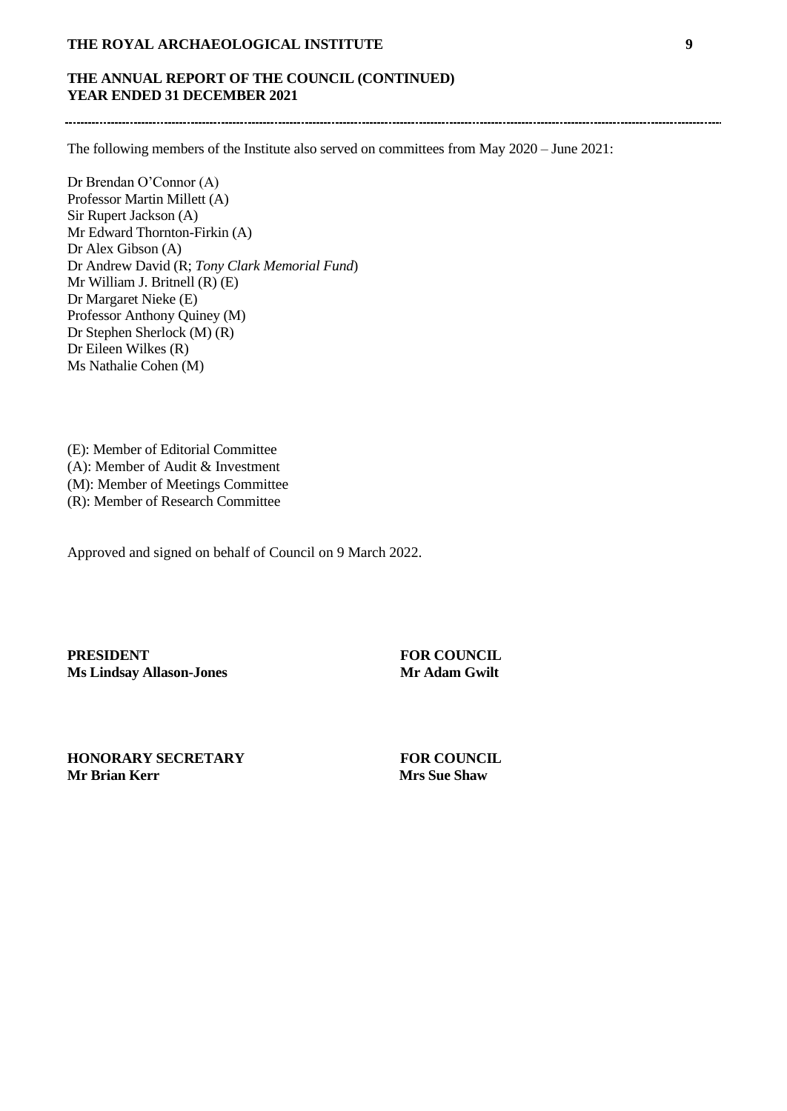# **THE ANNUAL REPORT OF THE COUNCIL (CONTINUED) YEAR ENDED 31 DECEMBER 2021**

The following members of the Institute also served on committees from May 2020 – June 2021:

Dr Brendan O'Connor (A) Professor Martin Millett (A) Sir Rupert Jackson (A) Mr Edward Thornton-Firkin (A) Dr Alex Gibson (A) Dr Andrew David (R; *Tony Clark Memorial Fund*) Mr William J. Britnell (R) (E) Dr Margaret Nieke (E) Professor Anthony Quiney (M) Dr Stephen Sherlock (M) (R) Dr Eileen Wilkes (R) Ms Nathalie Cohen (M)

(E): Member of Editorial Committee (A): Member of Audit & Investment (M): Member of Meetings Committee (R): Member of Research Committee

Approved and signed on behalf of Council on 9 March 2022.

**PRESIDENT** FOR COUNCIL<br>Ms Lindsay Allason-Jones Mr Adam Gwilt **Ms Lindsay Allason-Jones** 

**HONORARY SECRETARY FOR COUNCIL Mr Brian Kerr Mrs Sue Shaw**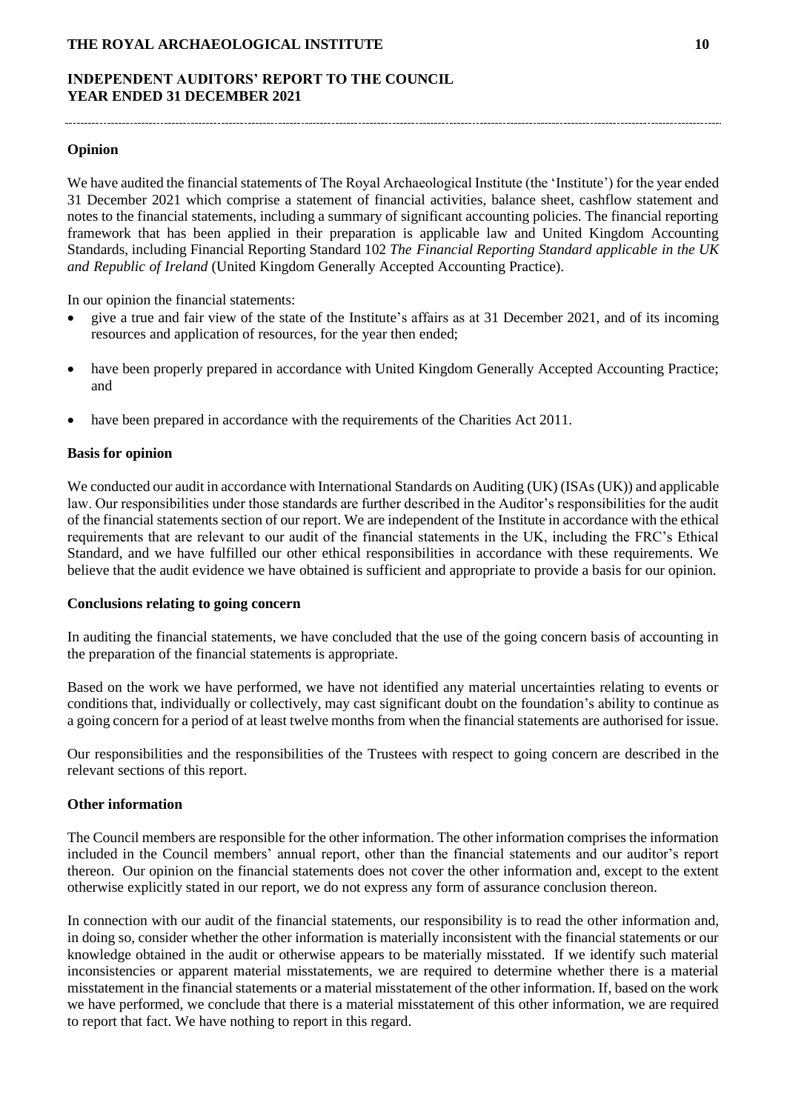# **INDEPENDENT AUDITORS' REPORT TO THE COUNCIL YEAR ENDED 31 DECEMBER 2021**

## **Opinion**

We have audited the financial statements of The Royal Archaeological Institute (the 'Institute') for the year ended 31 December 2021 which comprise a statement of financial activities, balance sheet, cashflow statement and notes to the financial statements, including a summary of significant accounting policies. The financial reporting framework that has been applied in their preparation is applicable law and United Kingdom Accounting Standards, including Financial Reporting Standard 102 *The Financial Reporting Standard applicable in the UK and Republic of Ireland* (United Kingdom Generally Accepted Accounting Practice).

In our opinion the financial statements:

- give a true and fair view of the state of the Institute's affairs as at 31 December 2021, and of its incoming resources and application of resources, for the year then ended;
- have been properly prepared in accordance with United Kingdom Generally Accepted Accounting Practice; and
- have been prepared in accordance with the requirements of the Charities Act 2011.

#### **Basis for opinion**

We conducted our audit in accordance with International Standards on Auditing (UK) (ISAs (UK)) and applicable law. Our responsibilities under those standards are further described in the Auditor's responsibilities for the audit of the financial statements section of our report. We are independent of the Institute in accordance with the ethical requirements that are relevant to our audit of the financial statements in the UK, including the FRC's Ethical Standard, and we have fulfilled our other ethical responsibilities in accordance with these requirements. We believe that the audit evidence we have obtained is sufficient and appropriate to provide a basis for our opinion.

#### **Conclusions relating to going concern**

In auditing the financial statements, we have concluded that the use of the going concern basis of accounting in the preparation of the financial statements is appropriate.

Based on the work we have performed, we have not identified any material uncertainties relating to events or conditions that, individually or collectively, may cast significant doubt on the foundation's ability to continue as a going concern for a period of at least twelve months from when the financial statements are authorised for issue.

Our responsibilities and the responsibilities of the Trustees with respect to going concern are described in the relevant sections of this report.

## **Other information**

The Council members are responsible for the other information. The other information comprises the information included in the Council members' annual report, other than the financial statements and our auditor's report thereon. Our opinion on the financial statements does not cover the other information and, except to the extent otherwise explicitly stated in our report, we do not express any form of assurance conclusion thereon.

In connection with our audit of the financial statements, our responsibility is to read the other information and, in doing so, consider whether the other information is materially inconsistent with the financial statements or our knowledge obtained in the audit or otherwise appears to be materially misstated. If we identify such material inconsistencies or apparent material misstatements, we are required to determine whether there is a material misstatement in the financial statements or a material misstatement of the other information. If, based on the work we have performed, we conclude that there is a material misstatement of this other information, we are required to report that fact. We have nothing to report in this regard.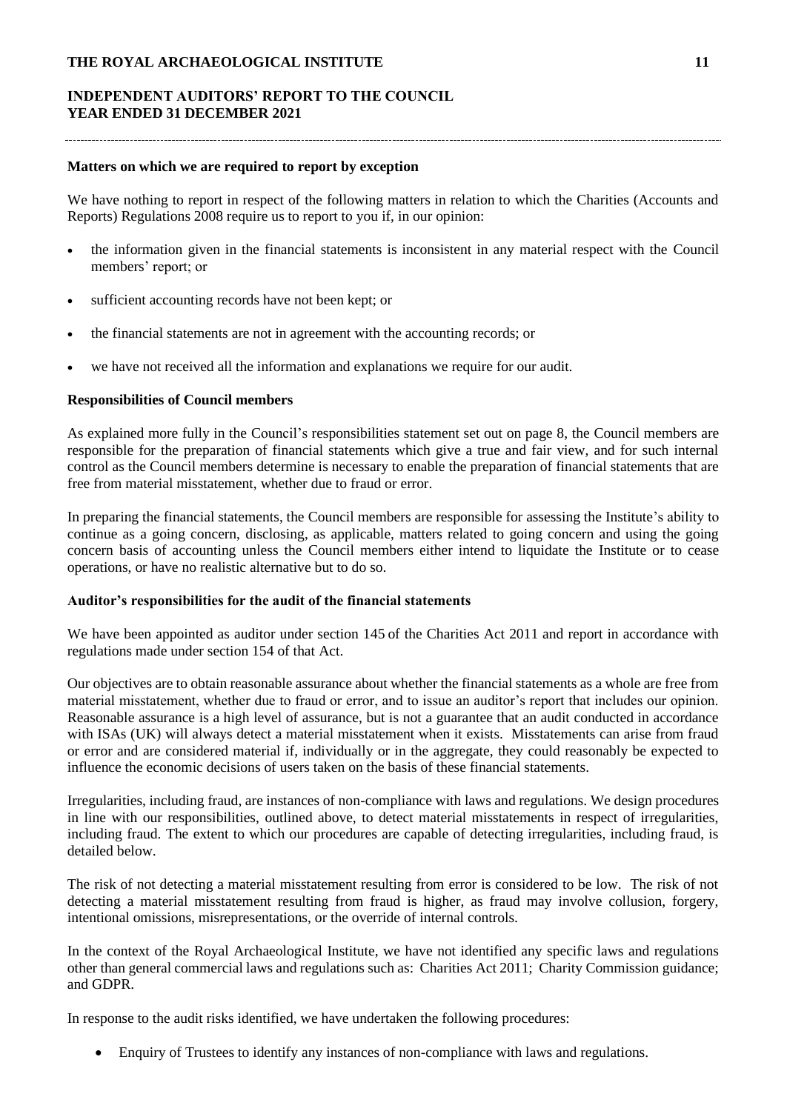# **INDEPENDENT AUDITORS' REPORT TO THE COUNCIL YEAR ENDED 31 DECEMBER 2021**

#### 

## **Matters on which we are required to report by exception**

We have nothing to report in respect of the following matters in relation to which the Charities (Accounts and Reports) Regulations 2008 require us to report to you if, in our opinion:

- the information given in the financial statements is inconsistent in any material respect with the Council members' report; or
- sufficient accounting records have not been kept; or
- the financial statements are not in agreement with the accounting records; or
- we have not received all the information and explanations we require for our audit.

## **Responsibilities of Council members**

As explained more fully in the Council's responsibilities statement set out on page 8, the Council members are responsible for the preparation of financial statements which give a true and fair view, and for such internal control as the Council members determine is necessary to enable the preparation of financial statements that are free from material misstatement, whether due to fraud or error.

In preparing the financial statements, the Council members are responsible for assessing the Institute's ability to continue as a going concern, disclosing, as applicable, matters related to going concern and using the going concern basis of accounting unless the Council members either intend to liquidate the Institute or to cease operations, or have no realistic alternative but to do so.

#### **Auditor's responsibilities for the audit of the financial statements**

We have been appointed as auditor under section 145 of the Charities Act 2011 and report in accordance with regulations made under section 154 of that Act.

Our objectives are to obtain reasonable assurance about whether the financial statements as a whole are free from material misstatement, whether due to fraud or error, and to issue an auditor's report that includes our opinion. Reasonable assurance is a high level of assurance, but is not a guarantee that an audit conducted in accordance with ISAs (UK) will always detect a material misstatement when it exists. Misstatements can arise from fraud or error and are considered material if, individually or in the aggregate, they could reasonably be expected to influence the economic decisions of users taken on the basis of these financial statements.

Irregularities, including fraud, are instances of non-compliance with laws and regulations. We design procedures in line with our responsibilities, outlined above, to detect material misstatements in respect of irregularities, including fraud. The extent to which our procedures are capable of detecting irregularities, including fraud, is detailed below.

The risk of not detecting a material misstatement resulting from error is considered to be low. The risk of not detecting a material misstatement resulting from fraud is higher, as fraud may involve collusion, forgery, intentional omissions, misrepresentations, or the override of internal controls.

In the context of the Royal Archaeological Institute, we have not identified any specific laws and regulations other than general commercial laws and regulations such as: Charities Act 2011; Charity Commission guidance; and GDPR.

In response to the audit risks identified, we have undertaken the following procedures:

• Enquiry of Trustees to identify any instances of non-compliance with laws and regulations.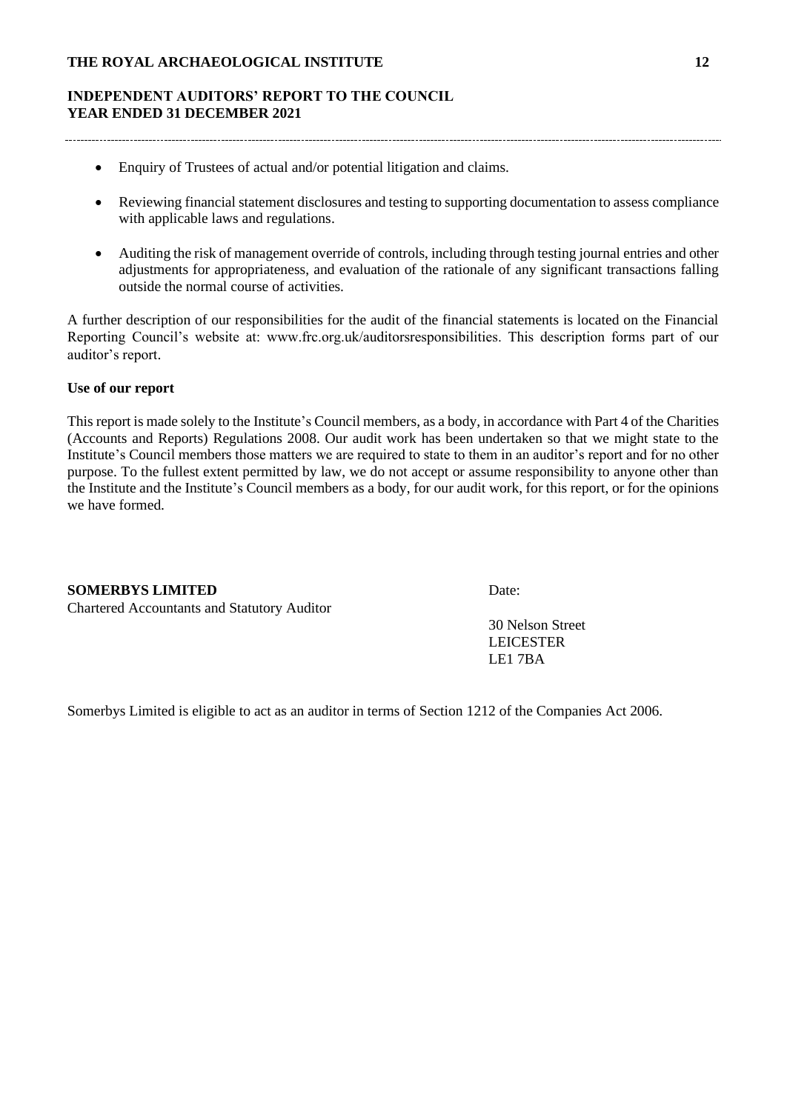# **INDEPENDENT AUDITORS' REPORT TO THE COUNCIL YEAR ENDED 31 DECEMBER 2021**

- Enquiry of Trustees of actual and/or potential litigation and claims.
- Reviewing financial statement disclosures and testing to supporting documentation to assess compliance with applicable laws and regulations.
- Auditing the risk of management override of controls, including through testing journal entries and other adjustments for appropriateness, and evaluation of the rationale of any significant transactions falling outside the normal course of activities.

A further description of our responsibilities for the audit of the financial statements is located on the Financial Reporting Council's website at: www.frc.org.uk/auditorsresponsibilities. This description forms part of our auditor's report.

## **Use of our report**

This report is made solely to the Institute's Council members, as a body, in accordance with Part 4 of the Charities (Accounts and Reports) Regulations 2008. Our audit work has been undertaken so that we might state to the Institute's Council members those matters we are required to state to them in an auditor's report and for no other purpose. To the fullest extent permitted by law, we do not accept or assume responsibility to anyone other than the Institute and the Institute's Council members as a body, for our audit work, for this report, or for the opinions we have formed.

#### **SOMERBYS LIMITED** Date:

Chartered Accountants and Statutory Auditor

30 Nelson Street LEICESTER LE1 7BA

Somerbys Limited is eligible to act as an auditor in terms of Section 1212 of the Companies Act 2006.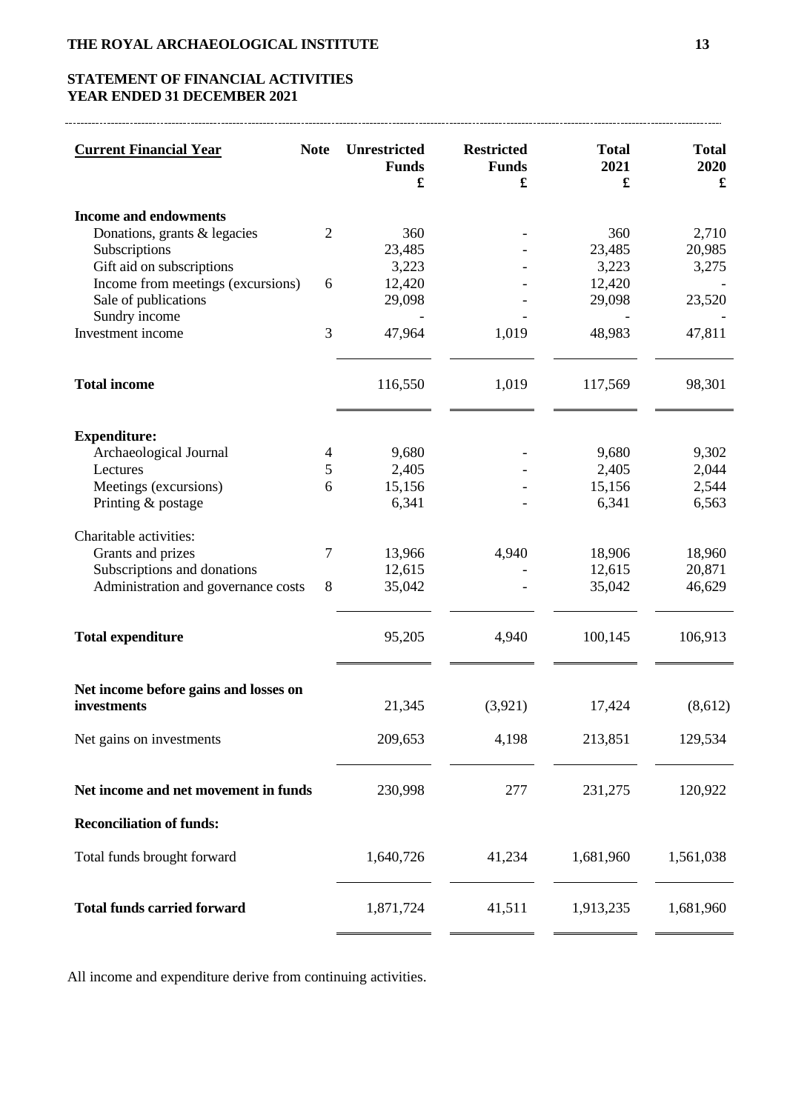# **STATEMENT OF FINANCIAL ACTIVITIES YEAR ENDED 31 DECEMBER 2021**

| <b>Current Financial Year</b>                                                          | <b>Note</b>    | <b>Unrestricted</b><br><b>Funds</b><br>$\pmb{\mathfrak{L}}$ | <b>Restricted</b><br><b>Funds</b><br>£ | <b>Total</b><br>2021<br>£ | <b>Total</b><br>2020<br>£ |
|----------------------------------------------------------------------------------------|----------------|-------------------------------------------------------------|----------------------------------------|---------------------------|---------------------------|
| <b>Income and endowments</b><br>Donations, grants & legacies<br>Subscriptions          | $\overline{2}$ | 360<br>23,485                                               |                                        | 360<br>23,485             | 2,710<br>20,985           |
| Gift aid on subscriptions<br>Income from meetings (excursions)<br>Sale of publications | 6              | 3,223<br>12,420<br>29,098                                   |                                        | 3,223<br>12,420<br>29,098 | 3,275<br>23,520           |
| Sundry income<br>Investment income                                                     | 3              | 47,964                                                      | 1,019                                  | 48,983                    | 47,811                    |
| <b>Total income</b>                                                                    |                | 116,550                                                     | 1,019                                  | 117,569                   | 98,301                    |
| <b>Expenditure:</b>                                                                    |                |                                                             |                                        |                           |                           |
| Archaeological Journal<br>Lectures                                                     | 4<br>5         | 9,680<br>2,405                                              |                                        | 9,680<br>2,405            | 9,302<br>2,044            |
| Meetings (excursions)                                                                  | 6              | 15,156                                                      |                                        | 15,156                    | 2,544                     |
| Printing & postage                                                                     |                | 6,341                                                       |                                        | 6,341                     | 6,563                     |
| Charitable activities:                                                                 |                |                                                             |                                        |                           |                           |
| Grants and prizes                                                                      | 7              | 13,966                                                      | 4,940                                  | 18,906                    | 18,960                    |
| Subscriptions and donations<br>Administration and governance costs                     | 8              | 12,615<br>35,042                                            |                                        | 12,615<br>35,042          | 20,871<br>46,629          |
| <b>Total expenditure</b>                                                               |                | 95,205                                                      | 4,940                                  | 100,145                   | 106,913                   |
| Net income before gains and losses on<br>investments                                   |                | 21,345                                                      | (3,921)                                | 17,424                    | (8,612)                   |
|                                                                                        |                |                                                             |                                        |                           |                           |
| Net gains on investments                                                               |                | 209,653                                                     | 4,198                                  | 213,851                   | 129,534                   |
| Net income and net movement in funds                                                   |                | 230,998                                                     | 277                                    | 231,275                   | 120,922                   |
| <b>Reconciliation of funds:</b>                                                        |                |                                                             |                                        |                           |                           |
| Total funds brought forward                                                            |                | 1,640,726                                                   | 41,234                                 | 1,681,960                 | 1,561,038                 |
| <b>Total funds carried forward</b>                                                     |                | 1,871,724                                                   | 41,511                                 | 1,913,235                 | 1,681,960                 |

All income and expenditure derive from continuing activities.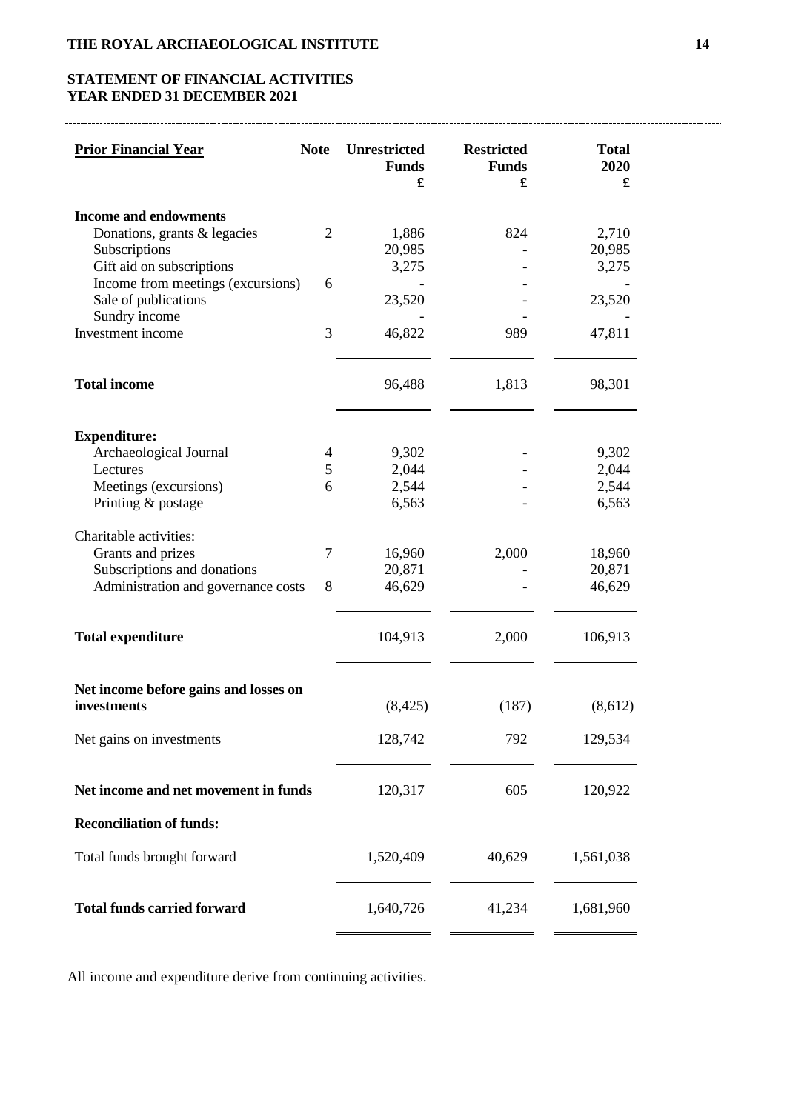# **STATEMENT OF FINANCIAL ACTIVITIES YEAR ENDED 31 DECEMBER 2021**

| <b>Prior Financial Year</b>                                                            | <b>Note</b>         | <b>Unrestricted</b><br><b>Funds</b><br>£ | <b>Restricted</b><br><b>Funds</b><br>£ | <b>Total</b><br>2020<br>£ |
|----------------------------------------------------------------------------------------|---------------------|------------------------------------------|----------------------------------------|---------------------------|
| <b>Income and endowments</b><br>Donations, grants & legacies<br>Subscriptions          | 2                   | 1,886<br>20,985                          | 824                                    | 2,710<br>20,985           |
| Gift aid on subscriptions<br>Income from meetings (excursions)<br>Sale of publications | 6                   | 3,275<br>23,520                          |                                        | 3,275<br>23,520           |
| Sundry income<br>Investment income                                                     | 3                   | 46,822                                   | 989                                    | 47,811                    |
| <b>Total income</b>                                                                    |                     | 96,488                                   | 1,813                                  | 98,301                    |
| <b>Expenditure:</b>                                                                    |                     |                                          |                                        |                           |
| Archaeological Journal<br>Lectures                                                     | $\overline{4}$<br>5 | 9,302<br>2,044                           |                                        | 9,302<br>2,044            |
| Meetings (excursions)                                                                  | 6                   | 2,544                                    |                                        | 2,544                     |
| Printing & postage                                                                     |                     | 6,563                                    |                                        | 6,563                     |
| Charitable activities:<br>Grants and prizes                                            | $\overline{7}$      | 16,960                                   | 2,000                                  | 18,960                    |
| Subscriptions and donations                                                            |                     | 20,871                                   |                                        | 20,871                    |
| Administration and governance costs                                                    | 8                   | 46,629                                   |                                        | 46,629                    |
| <b>Total expenditure</b>                                                               |                     | 104,913                                  | 2,000                                  | 106,913                   |
| Net income before gains and losses on<br>investments                                   |                     | (8, 425)                                 | (187)                                  | (8,612)                   |
|                                                                                        |                     |                                          |                                        |                           |
| Net gains on investments                                                               |                     | 128,742                                  | 792                                    | 129,534                   |
| Net income and net movement in funds                                                   |                     | 120,317                                  | 605                                    | 120,922                   |
| <b>Reconciliation of funds:</b>                                                        |                     |                                          |                                        |                           |
| Total funds brought forward                                                            |                     | 1,520,409                                | 40,629                                 | 1,561,038                 |
| <b>Total funds carried forward</b>                                                     |                     | 1,640,726                                | 41,234                                 | 1,681,960                 |

All income and expenditure derive from continuing activities.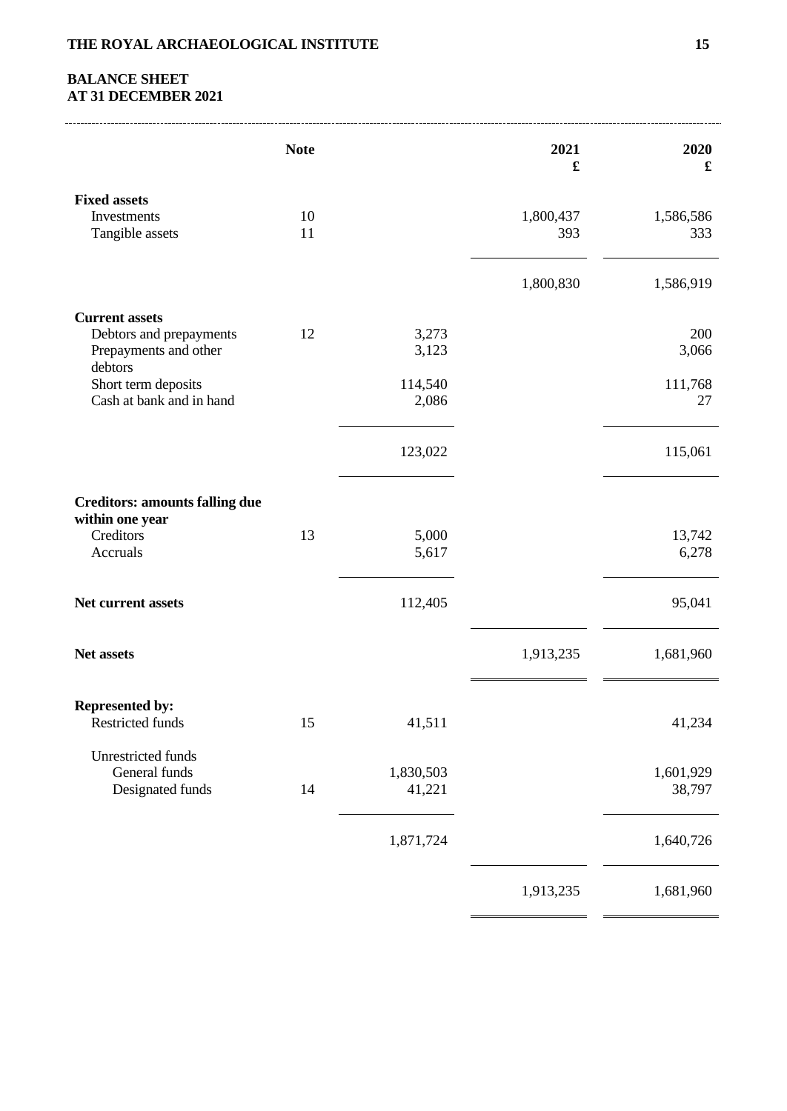# **BALANCE SHEET AT 31 DECEMBER 2021**

|                                                                                      | <b>Note</b> |                     | 2021<br>£        | 2020<br>£           |
|--------------------------------------------------------------------------------------|-------------|---------------------|------------------|---------------------|
| <b>Fixed assets</b><br>Investments<br>Tangible assets                                | 10<br>11    |                     | 1,800,437<br>393 | 1,586,586<br>333    |
|                                                                                      |             |                     | 1,800,830        | 1,586,919           |
| <b>Current assets</b><br>Debtors and prepayments<br>Prepayments and other<br>debtors | 12          | 3,273<br>3,123      |                  | 200<br>3,066        |
| Short term deposits<br>Cash at bank and in hand                                      |             | 114,540<br>2,086    |                  | 111,768<br>27       |
|                                                                                      |             | 123,022             |                  | 115,061             |
| <b>Creditors: amounts falling due</b><br>within one year                             |             |                     |                  |                     |
| Creditors<br>Accruals                                                                | 13          | 5,000<br>5,617      |                  | 13,742<br>6,278     |
| Net current assets                                                                   |             | 112,405             |                  | 95,041              |
| Net assets                                                                           |             |                     | 1,913,235        | 1,681,960           |
| <b>Represented by:</b><br>Restricted funds                                           | 15          | 41,511              |                  | 41,234              |
| <b>Unrestricted funds</b><br>General funds<br>Designated funds                       | 14          | 1,830,503<br>41,221 |                  | 1,601,929<br>38,797 |
|                                                                                      |             | 1,871,724           |                  | 1,640,726           |
|                                                                                      |             |                     | 1,913,235        | 1,681,960           |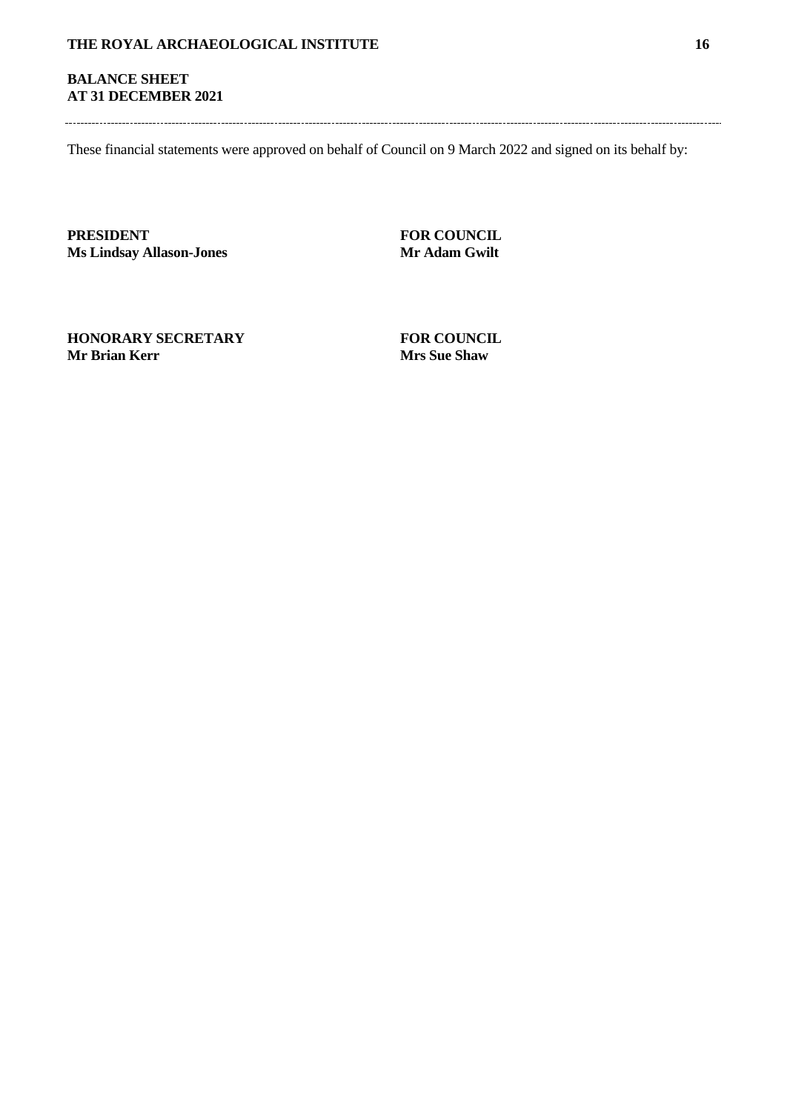# **BALANCE SHEET AT 31 DECEMBER 2021**

These financial statements were approved on behalf of Council on 9 March 2022 and signed on its behalf by:

**PRESIDENT FOR COUNCIL Ms Lindsay Allason-Jones Mr Adam Gwilt**

**HONORARY SECRETARY FOR COUNCIL**<br>Mr Brian Kerr **Mrs** Sue Shaw

**Mrs Sue Shaw**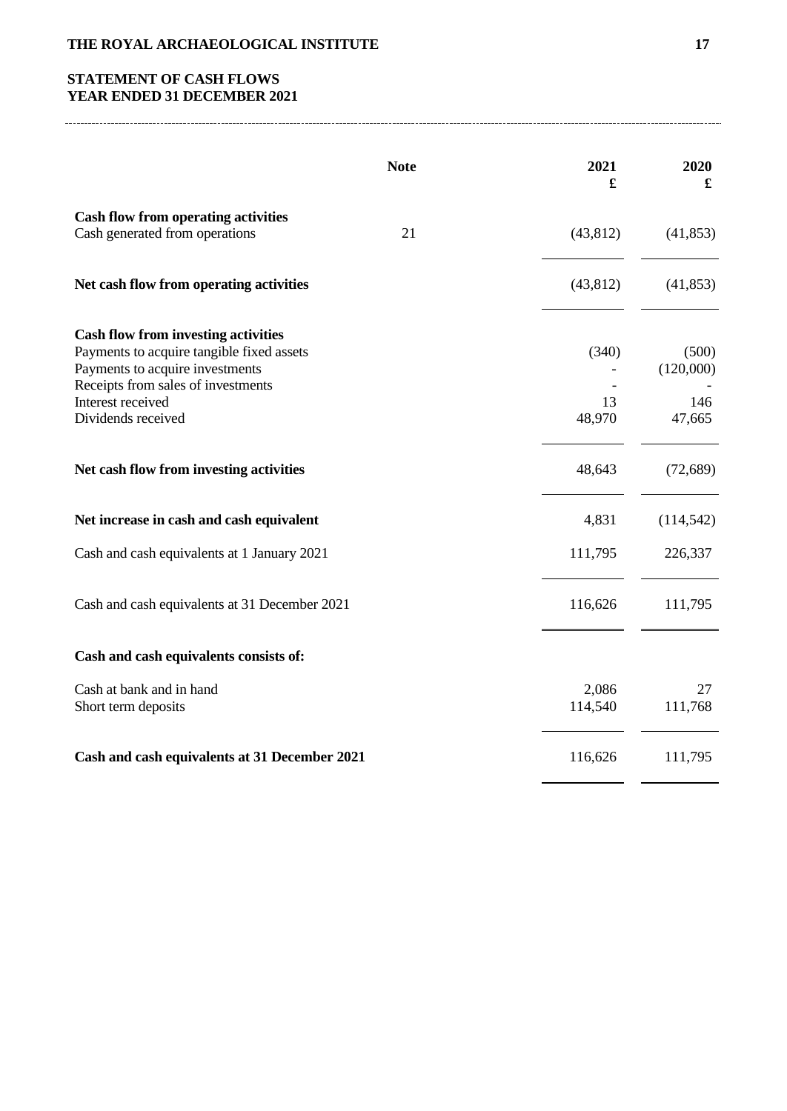# **STATEMENT OF CASH FLOWS YEAR ENDED 31 DECEMBER 2021**

|                                                                                                                                                                                                             | <b>Note</b> | 2021<br>£             | 2020<br>£                           |
|-------------------------------------------------------------------------------------------------------------------------------------------------------------------------------------------------------------|-------------|-----------------------|-------------------------------------|
| <b>Cash flow from operating activities</b><br>Cash generated from operations                                                                                                                                | 21          | (43, 812)             | (41, 853)                           |
| Net cash flow from operating activities                                                                                                                                                                     |             | (43, 812)             | (41, 853)                           |
| <b>Cash flow from investing activities</b><br>Payments to acquire tangible fixed assets<br>Payments to acquire investments<br>Receipts from sales of investments<br>Interest received<br>Dividends received |             | (340)<br>13<br>48,970 | (500)<br>(120,000)<br>146<br>47,665 |
| Net cash flow from investing activities                                                                                                                                                                     |             | 48,643                | (72, 689)                           |
| Net increase in cash and cash equivalent                                                                                                                                                                    |             | 4,831                 | (114, 542)                          |
| Cash and cash equivalents at 1 January 2021                                                                                                                                                                 |             | 111,795               | 226,337                             |
| Cash and cash equivalents at 31 December 2021                                                                                                                                                               |             | 116,626               | 111,795                             |
| Cash and cash equivalents consists of:                                                                                                                                                                      |             |                       |                                     |
| Cash at bank and in hand<br>Short term deposits                                                                                                                                                             |             | 2,086<br>114,540      | 27<br>111,768                       |
| Cash and cash equivalents at 31 December 2021                                                                                                                                                               |             | 116,626               | 111,795                             |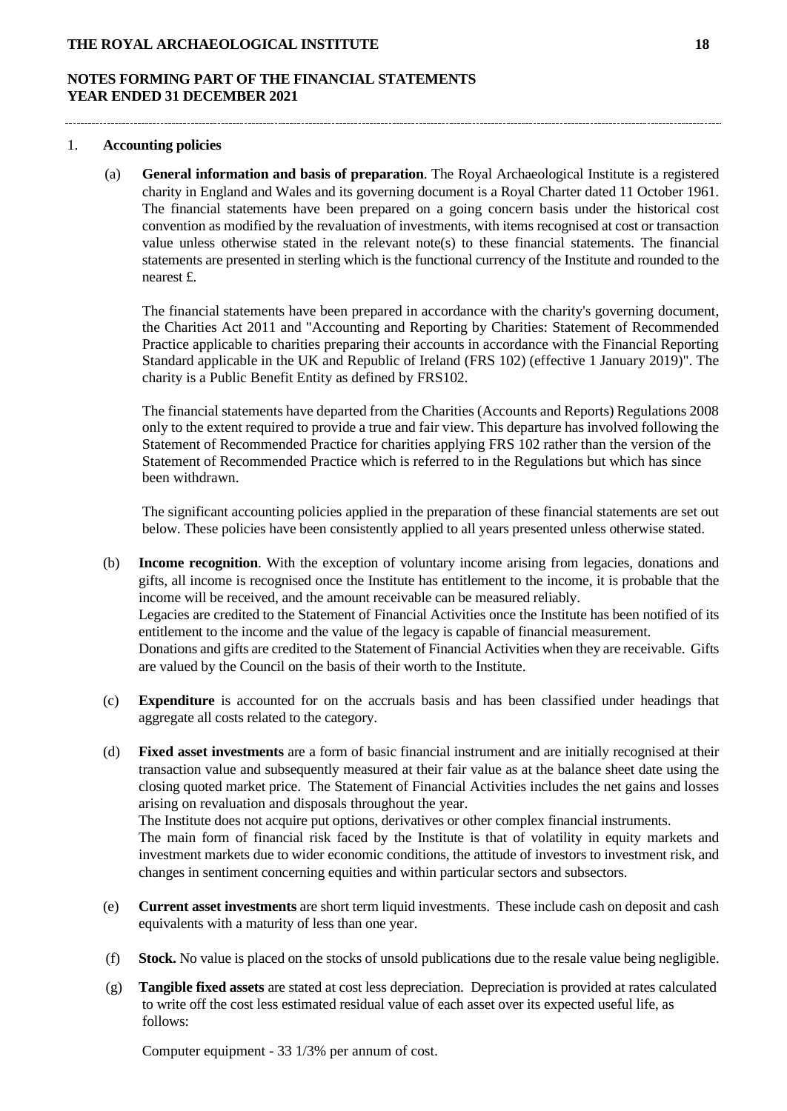# **NOTES FORMING PART OF THE FINANCIAL STATEMENTS YEAR ENDED 31 DECEMBER 2021**

#### 1. **Accounting policies**

(a) **General information and basis of preparation**. The Royal Archaeological Institute is a registered charity in England and Wales and its governing document is a Royal Charter dated 11 October 1961. The financial statements have been prepared on a going concern basis under the historical cost convention as modified by the revaluation of investments, with items recognised at cost or transaction value unless otherwise stated in the relevant note(s) to these financial statements. The financial statements are presented in sterling which is the functional currency of the Institute and rounded to the nearest £.

The financial statements have been prepared in accordance with the charity's governing document, the Charities Act 2011 and "Accounting and Reporting by Charities: Statement of Recommended Practice applicable to charities preparing their accounts in accordance with the Financial Reporting Standard applicable in the UK and Republic of Ireland (FRS 102) (effective 1 January 2019)". The charity is a Public Benefit Entity as defined by FRS102.

The financial statements have departed from the Charities (Accounts and Reports) Regulations 2008 only to the extent required to provide a true and fair view. This departure has involved following the Statement of Recommended Practice for charities applying FRS 102 rather than the version of the Statement of Recommended Practice which is referred to in the Regulations but which has since been withdrawn.

The significant accounting policies applied in the preparation of these financial statements are set out below. These policies have been consistently applied to all years presented unless otherwise stated.

- (b) **Income recognition**. With the exception of voluntary income arising from legacies, donations and gifts, all income is recognised once the Institute has entitlement to the income, it is probable that the income will be received, and the amount receivable can be measured reliably. Legacies are credited to the Statement of Financial Activities once the Institute has been notified of its entitlement to the income and the value of the legacy is capable of financial measurement. Donations and gifts are credited to the Statement of Financial Activities when they are receivable. Gifts are valued by the Council on the basis of their worth to the Institute.
- (c) **Expenditure** is accounted for on the accruals basis and has been classified under headings that aggregate all costs related to the category.
- (d) **Fixed asset investments** are a form of basic financial instrument and are initially recognised at their transaction value and subsequently measured at their fair value as at the balance sheet date using the closing quoted market price. The Statement of Financial Activities includes the net gains and losses arising on revaluation and disposals throughout the year. The Institute does not acquire put options, derivatives or other complex financial instruments.

The main form of financial risk faced by the Institute is that of volatility in equity markets and investment markets due to wider economic conditions, the attitude of investors to investment risk, and changes in sentiment concerning equities and within particular sectors and subsectors.

- (e) **Current asset investments** are short term liquid investments. These include cash on deposit and cash equivalents with a maturity of less than one year.
- (f) **Stock.** No value is placed on the stocks of unsold publications due to the resale value being negligible.
- (g) **Tangible fixed assets** are stated at cost less depreciation. Depreciation is provided at rates calculated to write off the cost less estimated residual value of each asset over its expected useful life, as follows:

Computer equipment - 33 1/3% per annum of cost.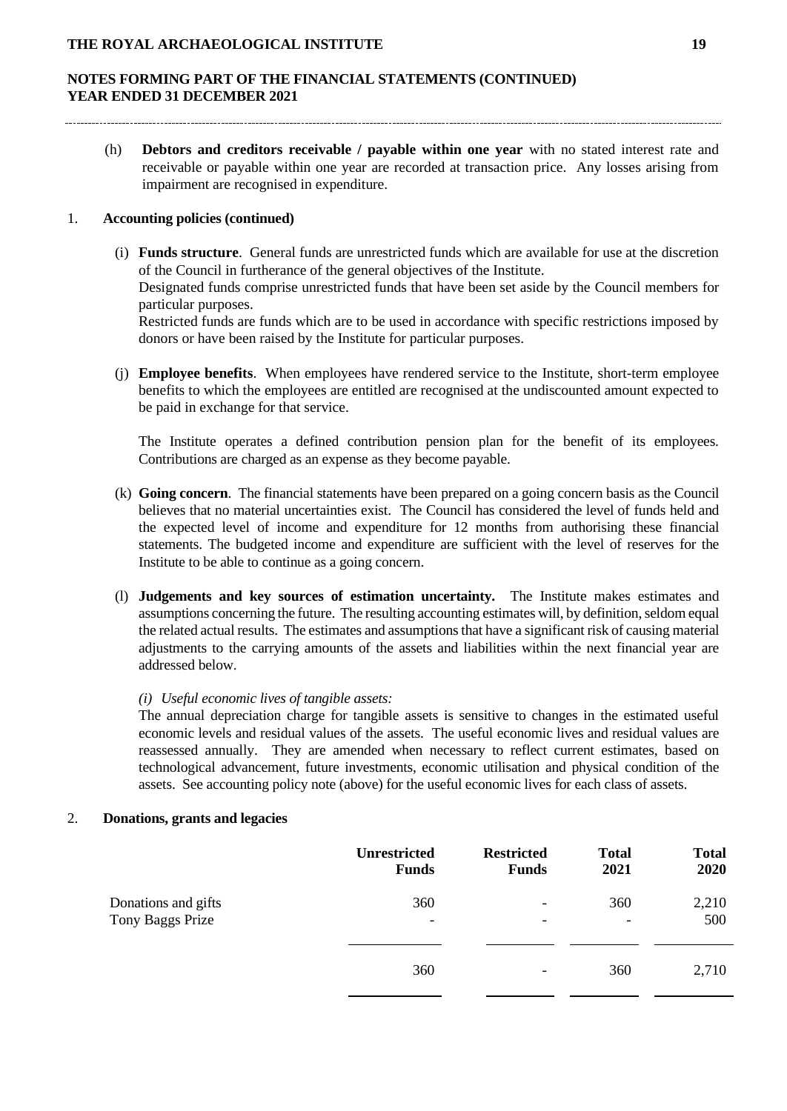(h) **Debtors and creditors receivable / payable within one year** with no stated interest rate and receivable or payable within one year are recorded at transaction price. Any losses arising from impairment are recognised in expenditure.

## 1. **Accounting policies (continued)**

- (i) **Funds structure**. General funds are unrestricted funds which are available for use at the discretion of the Council in furtherance of the general objectives of the Institute. Designated funds comprise unrestricted funds that have been set aside by the Council members for particular purposes. Restricted funds are funds which are to be used in accordance with specific restrictions imposed by donors or have been raised by the Institute for particular purposes.
- (j) **Employee benefits**. When employees have rendered service to the Institute, short-term employee benefits to which the employees are entitled are recognised at the undiscounted amount expected to be paid in exchange for that service.

The Institute operates a defined contribution pension plan for the benefit of its employees. Contributions are charged as an expense as they become payable.

- (k) **Going concern**. The financial statements have been prepared on a going concern basis as the Council believes that no material uncertainties exist. The Council has considered the level of funds held and the expected level of income and expenditure for 12 months from authorising these financial statements. The budgeted income and expenditure are sufficient with the level of reserves for the Institute to be able to continue as a going concern.
- (l) **Judgements and key sources of estimation uncertainty.** The Institute makes estimates and assumptions concerning the future. The resulting accounting estimates will, by definition, seldom equal the related actual results. The estimates and assumptions that have a significant risk of causing material adjustments to the carrying amounts of the assets and liabilities within the next financial year are addressed below.

## *(i) Useful economic lives of tangible assets:*

The annual depreciation charge for tangible assets is sensitive to changes in the estimated useful economic levels and residual values of the assets. The useful economic lives and residual values are reassessed annually. They are amended when necessary to reflect current estimates, based on technological advancement, future investments, economic utilisation and physical condition of the assets. See accounting policy note (above) for the useful economic lives for each class of assets.

## 2. **Donations, grants and legacies**

|                     | <b>Unrestricted</b>      | <b>Restricted</b>        | <b>Total</b>             | <b>Total</b> |
|---------------------|--------------------------|--------------------------|--------------------------|--------------|
|                     | <b>Funds</b>             | <b>Funds</b>             | 2021                     | 2020         |
| Donations and gifts | 360                      | $\overline{\phantom{a}}$ | 360                      | 2,210        |
| Tony Baggs Prize    | $\overline{\phantom{a}}$ | $\overline{\phantom{a}}$ | $\overline{\phantom{a}}$ | 500          |
|                     | 360                      | $\overline{\phantom{a}}$ | 360                      | 2,710        |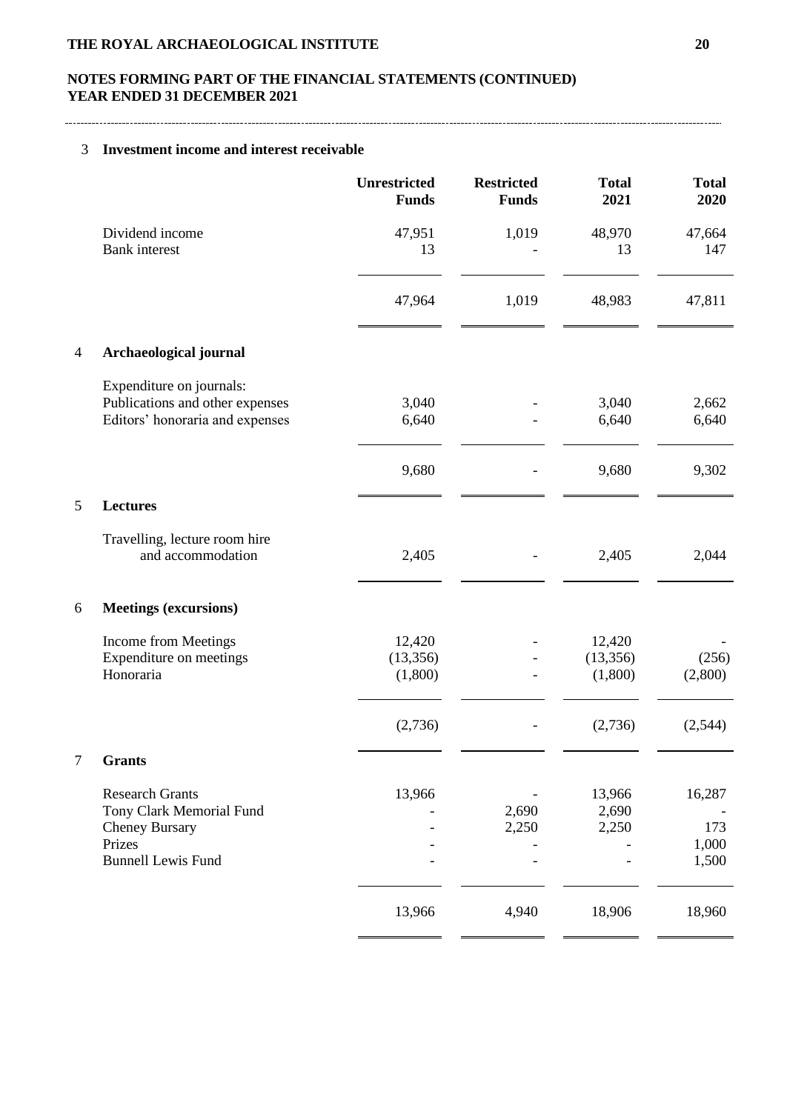# **NOTES FORMING PART OF THE FINANCIAL STATEMENTS (CONTINUED) YEAR ENDED 31 DECEMBER 2021**

## 3 **Investment income and interest receivable**

|                |                                                                                                                    | <b>Unrestricted</b><br><b>Funds</b> | <b>Restricted</b><br><b>Funds</b> | <b>Total</b><br>2021           | <b>Total</b><br>2020            |
|----------------|--------------------------------------------------------------------------------------------------------------------|-------------------------------------|-----------------------------------|--------------------------------|---------------------------------|
|                | Dividend income<br><b>Bank</b> interest                                                                            | 47,951<br>13                        | 1,019                             | 48,970<br>13                   | 47,664<br>147                   |
|                |                                                                                                                    | 47,964                              | 1,019                             | 48,983                         | 47,811                          |
| $\overline{4}$ | Archaeological journal                                                                                             |                                     |                                   |                                |                                 |
|                | Expenditure on journals:<br>Publications and other expenses<br>Editors' honoraria and expenses                     | 3,040<br>6,640                      |                                   | 3,040<br>6,640                 | 2,662<br>6,640                  |
|                |                                                                                                                    | 9,680                               |                                   | 9,680                          | 9,302                           |
| 5              | <b>Lectures</b>                                                                                                    |                                     |                                   |                                |                                 |
|                | Travelling, lecture room hire<br>and accommodation                                                                 | 2,405                               |                                   | 2,405                          | 2,044                           |
| 6              | <b>Meetings (excursions)</b>                                                                                       |                                     |                                   |                                |                                 |
|                | Income from Meetings<br>Expenditure on meetings<br>Honoraria                                                       | 12,420<br>(13, 356)<br>(1,800)      |                                   | 12,420<br>(13, 356)<br>(1,800) | (256)<br>(2,800)                |
|                |                                                                                                                    | (2,736)                             |                                   | (2,736)                        | (2,544)                         |
| $\mathcal{L}$  | <b>Grants</b>                                                                                                      |                                     |                                   |                                |                                 |
|                | <b>Research Grants</b><br>Tony Clark Memorial Fund<br><b>Cheney Bursary</b><br>Prizes<br><b>Bunnell Lewis Fund</b> | 13,966                              | 2,690<br>2,250                    | 13,966<br>2,690<br>2,250       | 16,287<br>173<br>1,000<br>1,500 |
|                |                                                                                                                    | 13,966                              | 4,940                             | 18,906                         | 18,960                          |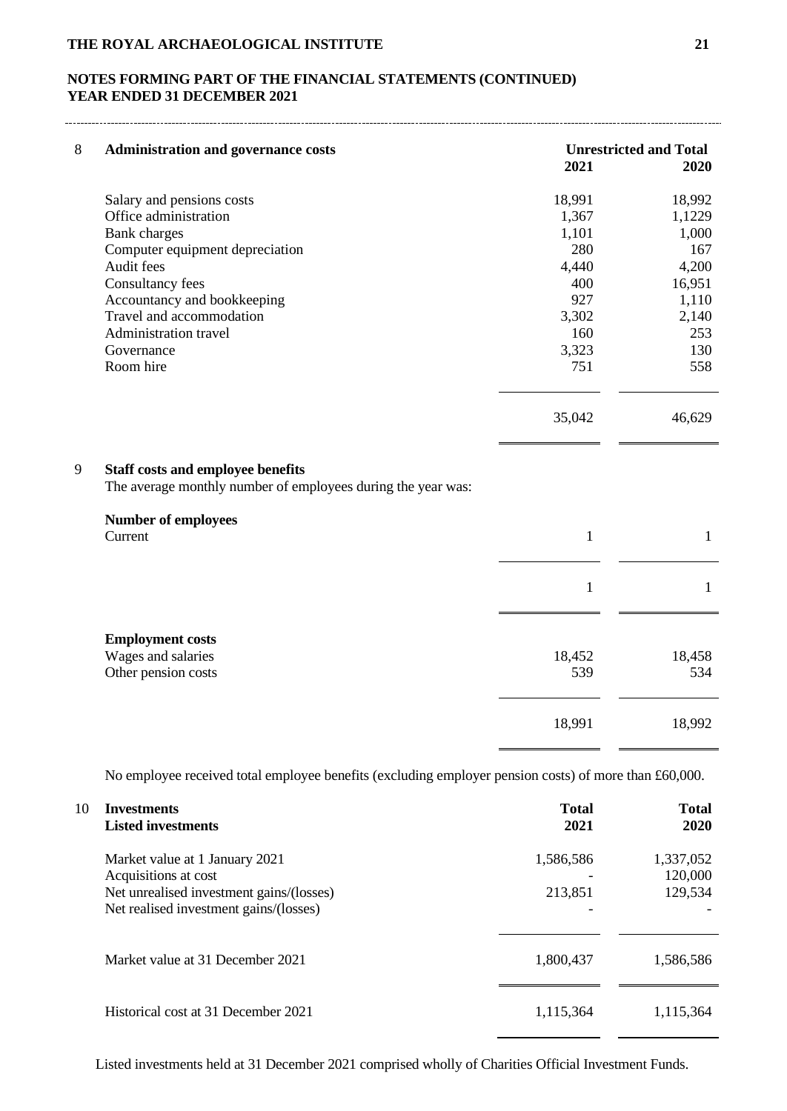# **NOTES FORMING PART OF THE FINANCIAL STATEMENTS (CONTINUED) YEAR ENDED 31 DECEMBER 2021**

| $\,8\,$ | <b>Administration and governance costs</b>                                                               |              | <b>Unrestricted and Total</b> |
|---------|----------------------------------------------------------------------------------------------------------|--------------|-------------------------------|
|         |                                                                                                          | 2021         | 2020                          |
|         | Salary and pensions costs                                                                                | 18,991       | 18,992                        |
|         | Office administration                                                                                    | 1,367        | 1,1229                        |
|         | <b>Bank</b> charges                                                                                      | 1,101        | 1,000                         |
|         | Computer equipment depreciation                                                                          | 280          | 167                           |
|         | Audit fees                                                                                               | 4,440        | 4,200                         |
|         | Consultancy fees                                                                                         | 400          | 16,951                        |
|         | Accountancy and bookkeeping                                                                              | 927          | 1,110                         |
|         | Travel and accommodation                                                                                 | 3,302        | 2,140                         |
|         | Administration travel                                                                                    | 160          | 253                           |
|         | Governance                                                                                               | 3,323        | 130                           |
|         | Room hire                                                                                                | 751          | 558                           |
|         |                                                                                                          | 35,042       | 46,629                        |
| 9       | <b>Staff costs and employee benefits</b><br>The average monthly number of employees during the year was: |              |                               |
|         | <b>Number of employees</b>                                                                               |              |                               |
|         | Current                                                                                                  | $\mathbf{1}$ | $\mathbf{1}$                  |
|         |                                                                                                          |              |                               |
|         |                                                                                                          | $\mathbf{1}$ | $\mathbf{1}$                  |
|         | <b>Employment costs</b>                                                                                  |              |                               |
|         | Wages and salaries                                                                                       | 18,452       | 18,458                        |
|         | Other pension costs                                                                                      | 539          | 534                           |
|         |                                                                                                          | 18,991       | 18,992                        |
|         |                                                                                                          |              |                               |

No employee received total employee benefits (excluding employer pension costs) of more than £60,000.

| 10 | <b>Investments</b><br><b>Listed investments</b>                                                                                              | <b>Total</b><br>2021 | <b>Total</b><br>2020            |
|----|----------------------------------------------------------------------------------------------------------------------------------------------|----------------------|---------------------------------|
|    | Market value at 1 January 2021<br>Acquisitions at cost<br>Net unrealised investment gains/(losses)<br>Net realised investment gains/(losses) | 1,586,586<br>213,851 | 1,337,052<br>120,000<br>129,534 |
|    | Market value at 31 December 2021                                                                                                             | 1,800,437            | 1,586,586                       |
|    | Historical cost at 31 December 2021                                                                                                          | 1,115,364            | 1,115,364                       |

Listed investments held at 31 December 2021 comprised wholly of Charities Official Investment Funds.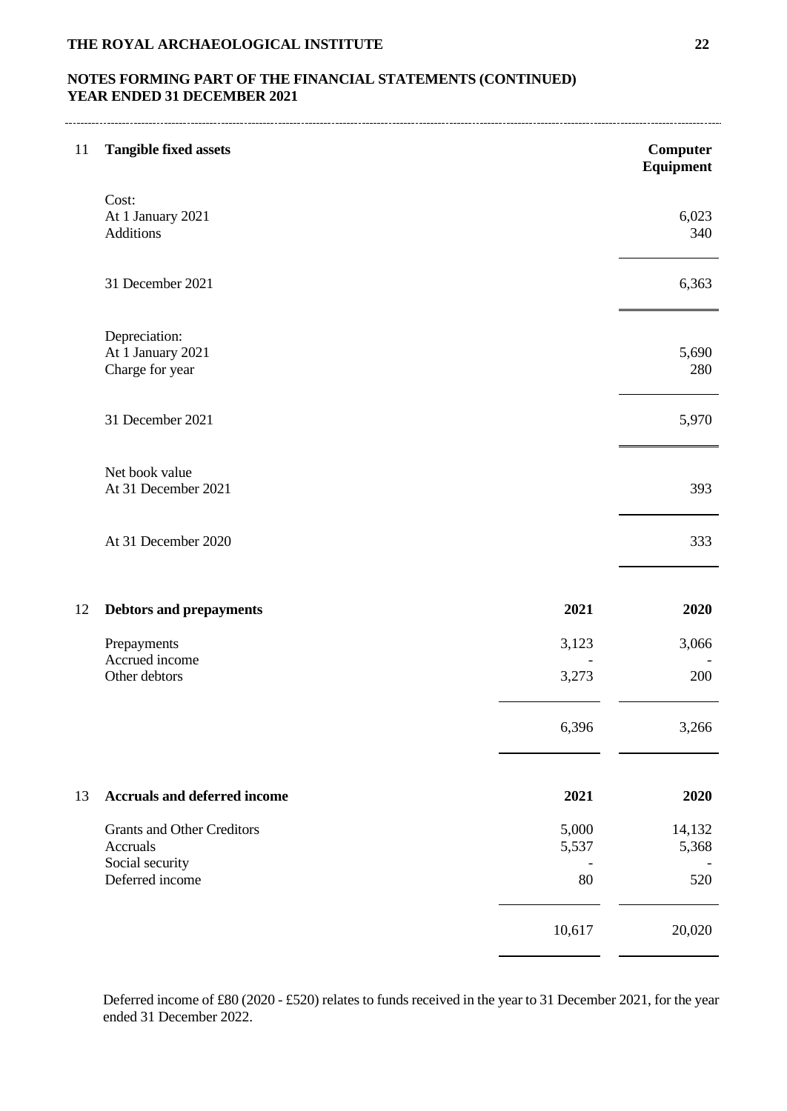# **NOTES FORMING PART OF THE FINANCIAL STATEMENTS (CONTINUED) YEAR ENDED 31 DECEMBER 2021**

| 11 | <b>Tangible fixed assets</b>                          |                | Computer<br>Equipment |
|----|-------------------------------------------------------|----------------|-----------------------|
|    | Cost:<br>At 1 January 2021<br><b>Additions</b>        |                | 6,023<br>340          |
|    | 31 December 2021                                      |                | 6,363                 |
|    | Depreciation:<br>At 1 January 2021<br>Charge for year |                | 5,690<br>280          |
|    | 31 December 2021                                      |                | 5,970                 |
|    | Net book value<br>At 31 December 2021                 |                | 393                   |
|    | At 31 December 2020                                   |                | 333                   |
| 12 | <b>Debtors and prepayments</b>                        | 2021           | 2020                  |
|    | Prepayments                                           | 3,123          | 3,066                 |
|    | Accrued income<br>Other debtors                       | 3,273          | 200                   |
|    |                                                       | 6,396          | 3,266                 |
| 13 | <b>Accruals and deferred income</b>                   | 2021           | 2020                  |
|    | <b>Grants and Other Creditors</b><br>Accruals         | 5,000<br>5,537 | 14,132<br>5,368       |
|    | Social security<br>Deferred income                    | 80             | 520                   |
|    |                                                       | 10,617         | 20,020                |

Deferred income of £80 (2020 - £520) relates to funds received in the year to 31 December 2021, for the year ended 31 December 2022.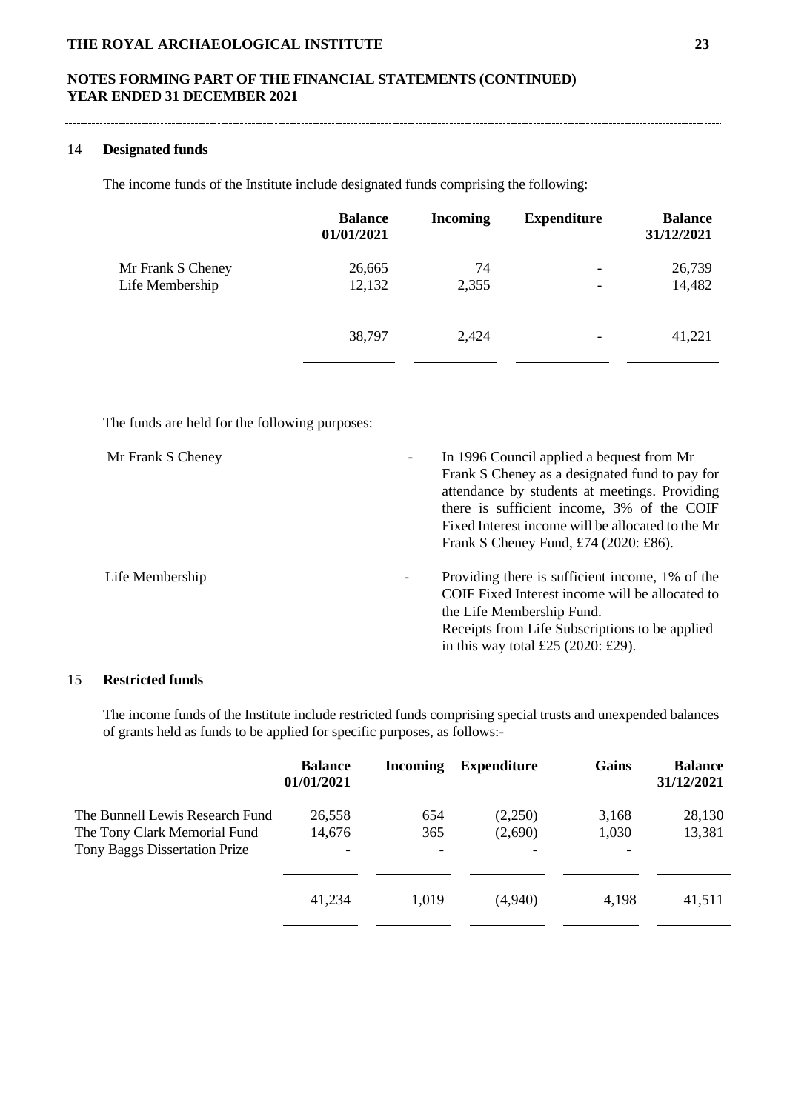#### 14 **Designated funds**

The income funds of the Institute include designated funds comprising the following:

|                   | <b>Balance</b><br>01/01/2021 | <b>Incoming</b> | <b>Expenditure</b>       | <b>Balance</b><br>31/12/2021 |
|-------------------|------------------------------|-----------------|--------------------------|------------------------------|
| Mr Frank S Cheney | 26,665                       | 74              | $\overline{\phantom{0}}$ | 26,739                       |
| Life Membership   | 12,132                       | 2,355           |                          | 14,482                       |
|                   |                              |                 |                          |                              |
|                   | 38,797                       | 2,424           |                          | 41,221                       |
|                   |                              |                 |                          |                              |

The funds are held for the following purposes:

| Mr Frank S Cheney<br>$\overline{\phantom{a}}$ | In 1996 Council applied a bequest from Mr<br>Frank S Cheney as a designated fund to pay for<br>attendance by students at meetings. Providing<br>there is sufficient income, 3% of the COIF<br>Fixed Interest income will be allocated to the Mr<br>Frank S Cheney Fund, £74 (2020: £86). |
|-----------------------------------------------|------------------------------------------------------------------------------------------------------------------------------------------------------------------------------------------------------------------------------------------------------------------------------------------|
| Life Membership<br>$\overline{\phantom{a}}$   | Providing there is sufficient income, 1% of the<br>COIF Fixed Interest income will be allocated to<br>the Life Membership Fund.<br>Receipts from Life Subscriptions to be applied<br>in this way total £25 $(2020: \text{\pounds}29)$ .                                                  |

# 15 **Restricted funds**

The income funds of the Institute include restricted funds comprising special trusts and unexpended balances of grants held as funds to be applied for specific purposes, as follows:-

|                                                                 | <b>Balance</b><br>01/01/2021 | <b>Incoming</b> | <b>Expenditure</b>       | Gains                    | <b>Balance</b><br>31/12/2021 |
|-----------------------------------------------------------------|------------------------------|-----------------|--------------------------|--------------------------|------------------------------|
| The Bunnell Lewis Research Fund<br>The Tony Clark Memorial Fund | 26.558<br>14,676             | 654<br>365      | (2,250)<br>(2,690)       | 3,168<br>1,030           | 28,130<br>13,381             |
| Tony Baggs Dissertation Prize                                   | $\overline{\phantom{a}}$     |                 | $\overline{\phantom{0}}$ | $\overline{\phantom{0}}$ |                              |
|                                                                 | 41,234                       | 1,019           | (4,940)                  | 4,198                    | 41,511                       |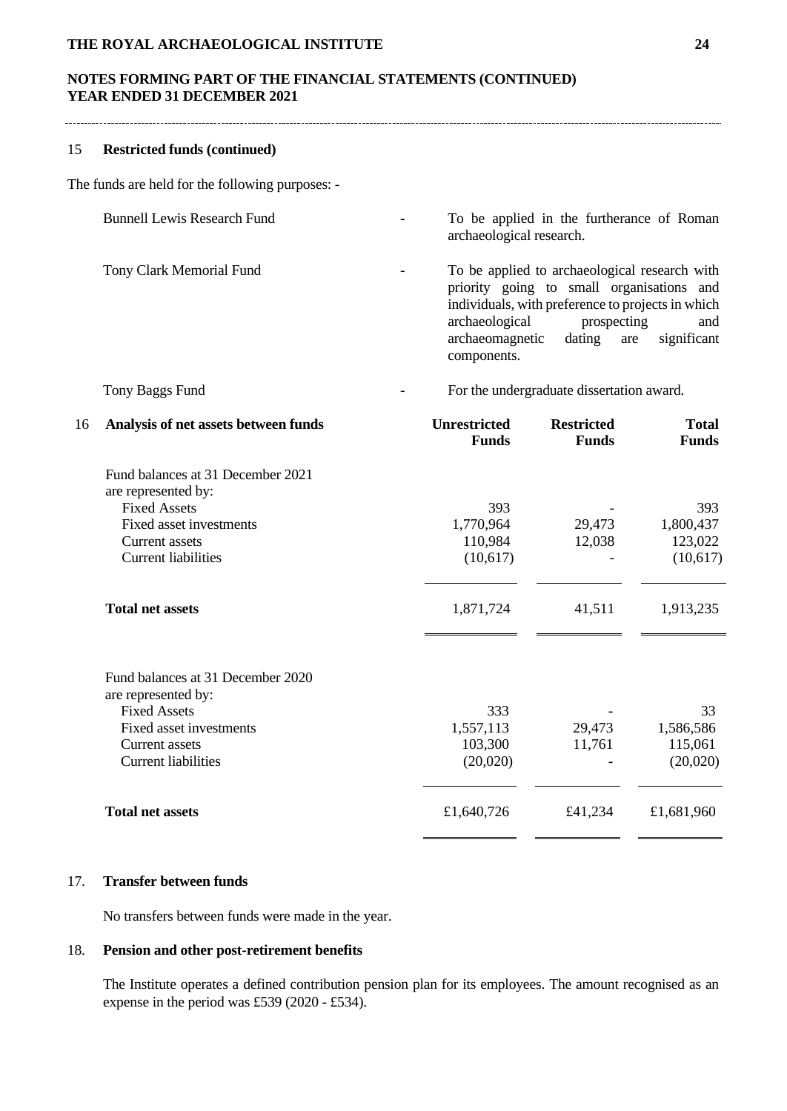## 15 **Restricted funds (continued)**

The funds are held for the following purposes: -

| <b>Bunnell Lewis Research Fund</b> | $\overline{\phantom{a}}$ | To be applied in the furtherance of Roman<br>archaeological research.                                                                                                                                                                               |
|------------------------------------|--------------------------|-----------------------------------------------------------------------------------------------------------------------------------------------------------------------------------------------------------------------------------------------------|
| Tony Clark Memorial Fund           | $\overline{\phantom{a}}$ | To be applied to archaeological research with<br>priority going to small organisations and<br>individuals, with preference to projects in which<br>archaeological<br>prospecting<br>and<br>archaeomagnetic dating are<br>significant<br>components. |

## Tony Baggs Fund **For the undergraduate dissertation award.**

| 16 | Analysis of net assets between funds                     | <b>Unrestricted</b><br><b>Funds</b> | <b>Restricted</b><br><b>Funds</b> | <b>Total</b><br><b>Funds</b> |
|----|----------------------------------------------------------|-------------------------------------|-----------------------------------|------------------------------|
|    | Fund balances at 31 December 2021                        |                                     |                                   |                              |
|    | are represented by:                                      |                                     |                                   |                              |
|    | <b>Fixed Assets</b>                                      | 393                                 |                                   | 393                          |
|    | Fixed asset investments                                  | 1,770,964                           | 29,473                            | 1,800,437                    |
|    | Current assets                                           | 110,984                             | 12,038                            | 123,022                      |
|    | <b>Current liabilities</b>                               | (10,617)                            |                                   | (10,617)                     |
|    | <b>Total net assets</b>                                  | 1,871,724                           | 41,511                            | 1,913,235                    |
|    | Fund balances at 31 December 2020<br>are represented by: |                                     |                                   |                              |
|    | <b>Fixed Assets</b>                                      | 333                                 |                                   | 33                           |
|    | Fixed asset investments                                  | 1,557,113                           | 29,473                            | 1,586,586                    |
|    | <b>Current assets</b>                                    | 103,300                             | 11,761                            | 115,061                      |
|    | <b>Current liabilities</b>                               | (20,020)                            |                                   | (20,020)                     |
|    | <b>Total net assets</b>                                  | £1,640,726                          | £41,234                           | £1,681,960                   |
|    |                                                          |                                     |                                   |                              |

## 17. **Transfer between funds**

No transfers between funds were made in the year.

# 18. **Pension and other post-retirement benefits**

The Institute operates a defined contribution pension plan for its employees. The amount recognised as an expense in the period was £539 (2020 - £534).